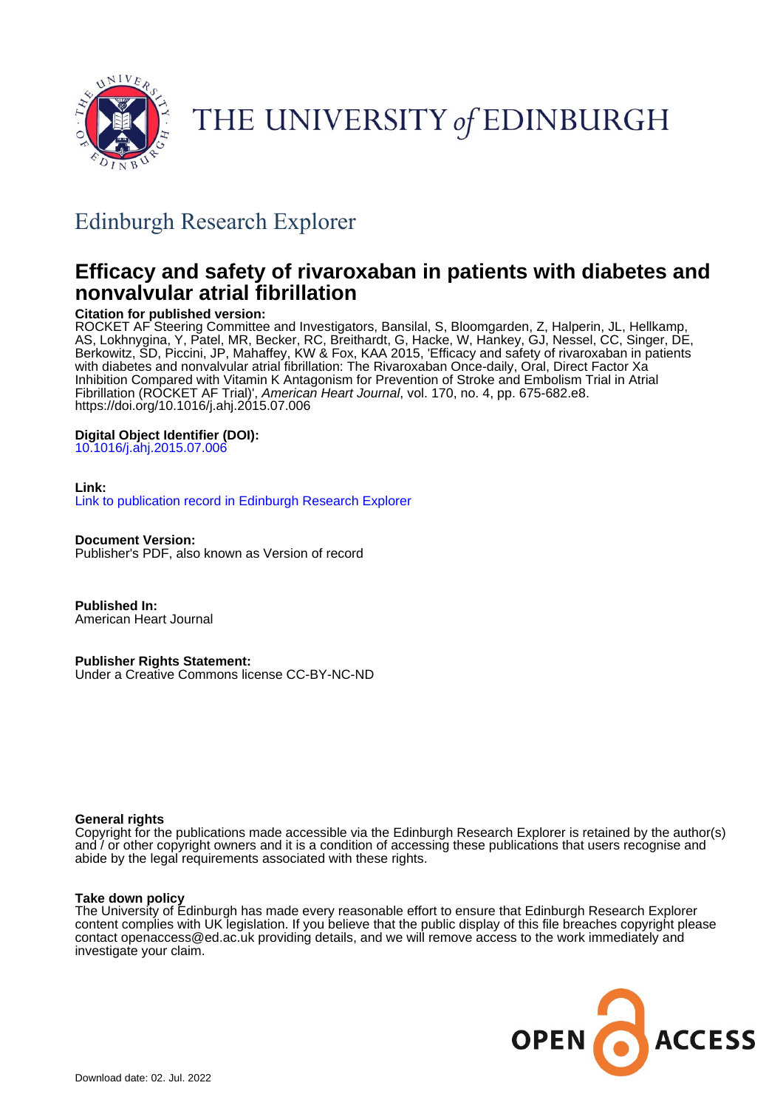

# THE UNIVERSITY of EDINBURGH

# Edinburgh Research Explorer

# **Efficacy and safety of rivaroxaban in patients with diabetes and nonvalvular atrial fibrillation**

# **Citation for published version:**

ROCKET AF Steering Committee and Investigators, Bansilal, S, Bloomgarden, Z, Halperin, JL, Hellkamp, AS, Lokhnygina, Y, Patel, MR, Becker, RC, Breithardt, G, Hacke, W, Hankey, GJ, Nessel, CC, Singer, DE, Berkowitz, SD, Piccini, JP, Mahaffey, KW & Fox, KAA 2015, 'Efficacy and safety of rivaroxaban in patients with diabetes and nonvalvular atrial fibrillation: The Rivaroxaban Once-daily, Oral, Direct Factor Xa Inhibition Compared with Vitamin K Antagonism for Prevention of Stroke and Embolism Trial in Atrial Fibrillation (ROCKET AF Trial)', American Heart Journal, vol. 170, no. 4, pp. 675-682.e8. <https://doi.org/10.1016/j.ahj.2015.07.006>

# **Digital Object Identifier (DOI):**

[10.1016/j.ahj.2015.07.006](https://doi.org/10.1016/j.ahj.2015.07.006)

# **Link:**

[Link to publication record in Edinburgh Research Explorer](https://www.research.ed.ac.uk/en/publications/6c84c334-3774-4d0f-9c67-90d7bd4c2ae7)

**Document Version:**

Publisher's PDF, also known as Version of record

**Published In:** American Heart Journal

# **Publisher Rights Statement:**

Under a Creative Commons license CC-BY-NC-ND

### **General rights**

Copyright for the publications made accessible via the Edinburgh Research Explorer is retained by the author(s) and / or other copyright owners and it is a condition of accessing these publications that users recognise and abide by the legal requirements associated with these rights.

# **Take down policy**

The University of Edinburgh has made every reasonable effort to ensure that Edinburgh Research Explorer content complies with UK legislation. If you believe that the public display of this file breaches copyright please contact openaccess@ed.ac.uk providing details, and we will remove access to the work immediately and investigate your claim.

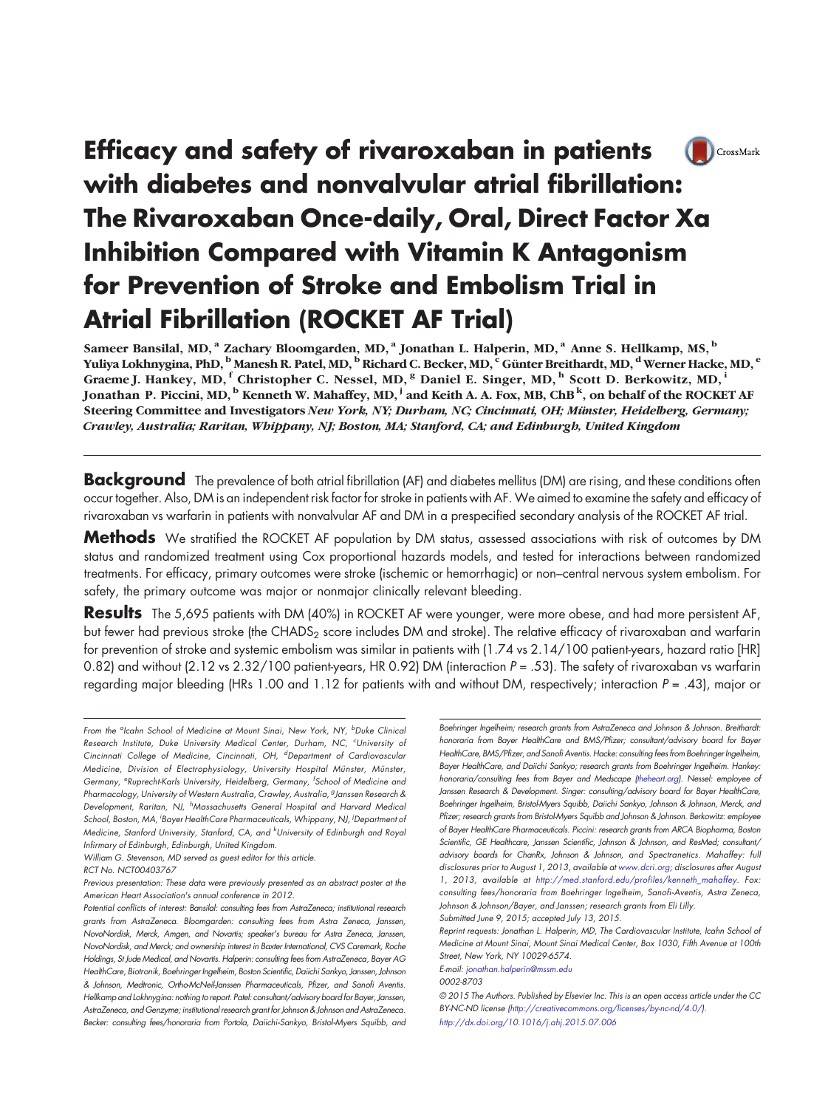# Efficacy and safety of rivaroxaban in patients (Bullet) CrossMark with diabetes and nonvalvular atrial fibrillation: The Rivaroxaban Once-daily, Oral, Direct Factor Xa Inhibition Compared with Vitamin K Antagonism for Prevention of Stroke and Embolism Trial in Atrial Fibrillation (ROCKET AF Trial)

Sameer Bansilal, MD,<sup>a</sup> Zachary Bloomgarden, MD,<sup>a</sup> Jonathan L. Halperin, MD,<sup>a</sup> Anne S. Hellkamp, MS,<sup>b</sup> Yuliya Lokhnygina, PhD, <sup>b</sup> Manesh R. Patel, MD, <sup>b</sup> Richard C. Becker, MD, <sup>c</sup> Günter Breithardt, MD, <sup>d</sup> Werner Hacke, MD, <sup>e</sup> Graeme J. Hankey, MD, <sup>f</sup> Christopher C. Nessel, MD, <sup>8</sup> Daniel E. Singer, MD, <sup>h</sup> Scott D. Berkowitz, MD, <sup>i</sup> Jonathan P. Piccini, MD,  $^{\rm b}$  Kenneth W. Mahaffey, MD,  $^{\rm j}$  and Keith A. A. Fox, MB, ChB  $^{\rm k}$ , on behalf of the ROCKET AF Steering Committee and Investigators New York, NY; Durham, NC; Cincinnati, OH; Münster, Heidelberg, Germany; Crawley, Australia; Raritan, Whippany, NJ; Boston, MA; Stanford, CA; and Edinburgh, United Kingdom

Background The prevalence of both atrial fibrillation (AF) and diabetes mellitus (DM) are rising, and these conditions often occur together. Also, DM is an independent risk factor for stroke in patients with AF.We aimed to examine the safety and efficacy of rivaroxaban vs warfarin in patients with nonvalvular AF and DM in a prespecified secondary analysis of the ROCKET AF trial.

**Methods** We stratified the ROCKET AF population by DM status, assessed associations with risk of outcomes by DM status and randomized treatment using Cox proportional hazards models, and tested for interactions between randomized treatments. For efficacy, primary outcomes were stroke (ischemic or hemorrhagic) or non–central nervous system embolism. For safety, the primary outcome was major or nonmajor clinically relevant bleeding.

**Results** The 5,695 patients with DM (40%) in ROCKET AF were younger, were more obese, and had more persistent AF, but fewer had previous stroke (the CHADS<sub>2</sub> score includes DM and stroke). The relative efficacy of rivaroxaban and warfarin for prevention of stroke and systemic embolism was similar in patients with (1.74 vs 2.14/100 patient-years, hazard ratio [HR] 0.82) and without (2.12 vs  $2.32/100$  patient-years, HR 0.92) DM (interaction  $P = .53$ ). The safety of rivaroxaban vs warfarin regarding major bleeding (HRs 1.00 and 1.12 for patients with and without DM, respectively; interaction  $P = .43$ ), major or

© 2015 The Authors. Published by Elsevier Inc. This is an open access article under the CC BY-NC-ND license (http://creativecommons.org/licenses/by-nc-nd/4.0/). <http://dx.doi.org/10.1016/j.ahj.2015.07.006>

From the <sup>a</sup>lcahn School of Medicine at Mount Sinai, New York, NY, <sup>b</sup>Duke Clinica Research Institute, Duke University Medical Center, Durham, NC, <sup>c</sup>University of Cincinnati College of Medicine, Cincinnati, OH, <sup>d</sup>Department of Cardiovascular Medicine, Division of Electrophysiology, University Hospital Münster, Münster, Germany, <sup>e</sup>Ruprecht-Karls University, Heidelberg, Germany, <sup>f</sup>School of Medicine and Pharmacology, University of Western Australia, Crawley, Australia, <sup>g</sup>Janssen Research & Development, Raritan, NJ, <sup>h</sup>Massachusetts General Hospital and Harvard Medica. School, Boston, MA, <sup>i</sup>Bayer HealthCare Pharmaceuticals, Whippany, NJ, <sup>i</sup>Department oi Medicine, Stanford University, Stanford, CA, and <sup>k</sup>University of Edinburgh and Roya Infirmary of Edinburgh, Edinburgh, United Kingdom.

William G. Stevenson, MD served as guest editor for this article.

RCT No. NCT00403767

Previous presentation: These data were previously presented as an abstract poster at the American Heart Association's annual conference in 2012.

Potential conflicts of interest: Bansilal: consulting fees from AstraZeneca; institutional research grants from AstraZeneca. Bloomgarden: consulting fees from Astra Zeneca, Janssen, NovoNordisk, Merck, Amgen, and Novartis; speaker's bureau for Astra Zeneca, Janssen, NovoNordisk, and Merck; and ownership interest in Baxter International, CVS Caremark, Roche Holdings, St Jude Medical, and Novartis. Halperin: consulting fees from AstraZeneca, Bayer AG HealthCare, Biotronik, Boehringer Ingelheim, Boston Scientific, Daiichi Sankyo, Janssen, Johnson & Johnson, Medtronic, Ortho-McNeil-Janssen Pharmaceuticals, Pfizer, and Sanofi Aventis. Hellkamp and Lokhnygina: nothing to report. Patel: consultant/advisory board for Bayer, Janssen, AstraZeneca, and Genzyme; institutional research grant for Johnson & Johnson and AstraZeneca. Becker: consulting fees/honoraria from Portola, Daiichi‐Sankyo, Bristol‐Myers Squibb, and

Boehringer Ingelheim; research grants from AstraZeneca and Johnson & Johnson. Breithardt: honoraria from Bayer HealthCare and BMS/Pfizer; consultant/advisory board for Bayer HealthCare, BMS/Pfizer, and Sanofi Aventis. Hacke: consulting fees from Boehringer Ingelheim, Bayer HealthCare, and Daiichi Sankyo; research grants from Boehringer Ingelheim. Hankey: honoraria/consulting fees from Bayer and Medscape (theheart.org). Nessel: employee of Janssen Research & Development. Singer: consulting/advisory board for Bayer HealthCare, Boehringer Ingelheim, Bristol-Myers Squibb, Daiichi Sankyo, Johnson & Johnson, Merck, and Pfizer; research grants from Bristol-Myers Squibb and Johnson & Johnson. Berkowitz: employee of Bayer HealthCare Pharmaceuticals. Piccini: research grants from ARCA Biopharma, Boston Scientific, GE Healthcare, Janssen Scientific, Johnson & Johnson, and ResMed; consultant/ advisory boards for ChanRx, Johnson & Johnson, and Spectranetics. Mahaffey: full disclosures prior to August 1, 2013, available at www.dcri.org; disclosures after August 1, 2013, available at http://med.stanford.edu/profiles/kenneth\_mahaffey. Fox: consulting fees/honoraria from Boehringer Ingelheim, Sanofi‐Aventis, Astra Zeneca, Johnson & Johnson/Bayer, and Janssen; research grants from Eli Lilly.

Submitted June 9, 2015; accepted July 13, 2015.

Reprint requests: Jonathan L. Halperin, MD, The Cardiovascular Institute, Icahn School of Medicine at Mount Sinai, Mount Sinai Medical Center, Box 1030, Fifth Avenue at 100th Street, New York, NY 10029-6574.

E-mail: [jonathan.halperin@mssm.edu](mailto:jonathan.halperin@mssm.edu)

<sup>0002-8703</sup>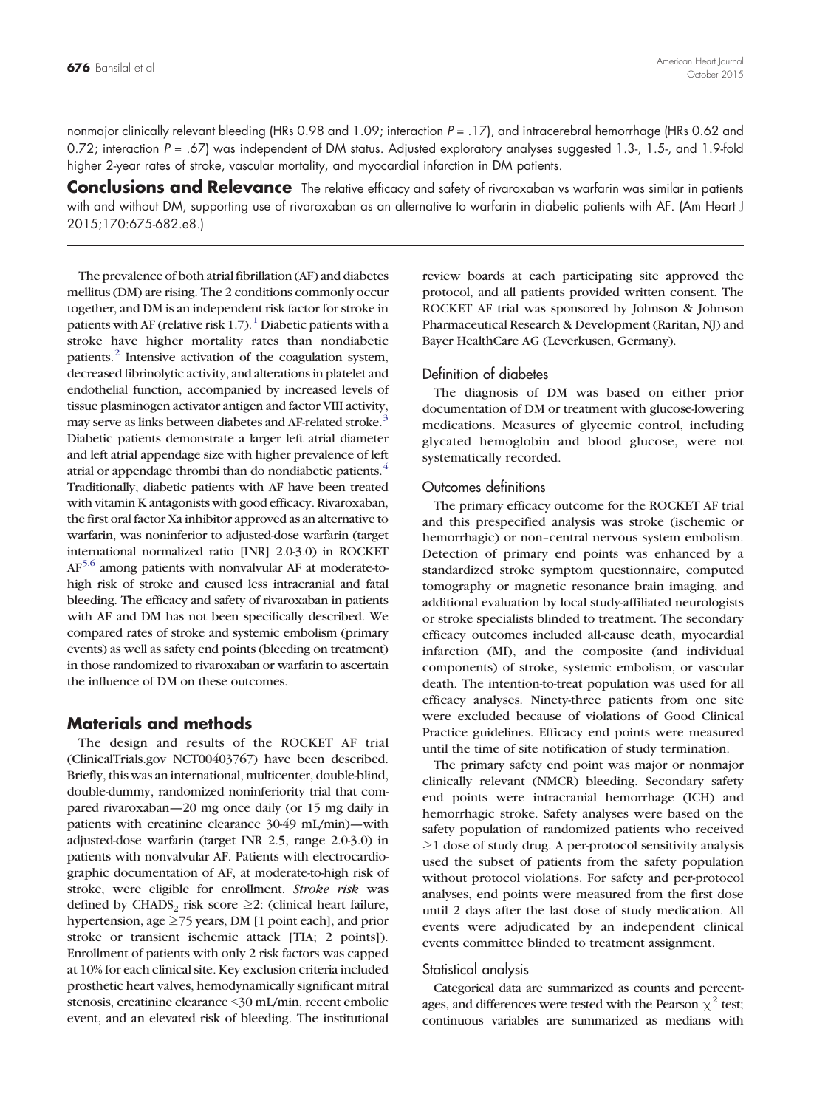nonmajor clinically relevant bleeding (HRs 0.98 and 1.09; interaction  $P = .17$ ), and intracerebral hemorrhage (HRs 0.62 and 0.72; interaction  $P = .67$ ) was independent of DM status. Adjusted exploratory analyses suggested 1.3-, 1.5-, and 1.9-fold higher 2-year rates of stroke, vascular mortality, and myocardial infarction in DM patients.

Conclusions and Relevance The relative efficacy and safety of rivaroxaban vs warfarin was similar in patients with and without DM, supporting use of rivaroxaban as an alternative to warfarin in diabetic patients with AF. (Am Heart J 2015;170:675-682.e8.)

The prevalence of both atrial fibrillation (AF) and diabetes mellitus (DM) are rising. The 2 conditions commonly occur together, and DM is an independent risk factor for stroke in patients with AF (relative risk 1[.](#page-7-0)7).<sup>[1](#page-7-0)</sup> Diabetic patients with a stroke have higher mortality rates than nondiabetic patients[.](#page-7-0)<sup>[2](#page-7-0)</sup> Intensive activation of the coagulation system, decreased fibrinolytic activity, and alterations in platelet and endothelial function, accompanied by increased levels of tissue plasminogen activator antigen and factor VIII activity, may serve as links between diabetes and AF-related stroke[.](#page-7-0)<sup>[3](#page-7-0)</sup> Diabetic patients demonstrate a larger left atrial diameter and left atrial appendage size with higher prevalence of left atrial or appendage thrombi than do nondiabetic patients[.](#page-7-0)<sup>[4](#page-7-0)</sup> Traditionally, diabetic patients with AF have been treated with vitamin K antagonists with good efficacy. Rivaroxaban, the first oral factor Xa inhibitor approved as an alternative to warfarin, was noninferior to adjusted-dose warfarin (target international normalized ratio [INR] 2.0-3.0) in ROCKET A[F](#page-7-0)[5,6](#page-7-0) among patients with nonvalvular AF at moderate-tohigh risk of stroke and caused less intracranial and fatal bleeding. The efficacy and safety of rivaroxaban in patients with AF and DM has not been specifically described. We compared rates of stroke and systemic embolism (primary events) as well as safety end points (bleeding on treatment) in those randomized to rivaroxaban or warfarin to ascertain the influence of DM on these outcomes.

# Materials and methods

The design and results of the ROCKET AF trial (ClinicalTrials.gov NCT00403767) have been described. Briefly, this was an international, multicenter, double-blind, double-dummy, randomized noninferiority trial that compared rivaroxaban—20 mg once daily (or 15 mg daily in patients with creatinine clearance 30-49 mL/min)—with adjusted-dose warfarin (target INR 2.5, range 2.0-3.0) in patients with nonvalvular AF. Patients with electrocardiographic documentation of AF, at moderate-to-high risk of stroke, were eligible for enrollment. Stroke risk was defined by CHADS<sub>2</sub> risk score  $\geq$ 2: (clinical heart failure, hypertension, age ≥75 years, DM [1 point each], and prior stroke or transient ischemic attack [TIA; 2 points]). Enrollment of patients with only 2 risk factors was capped at 10% for each clinical site. Key exclusion criteria included prosthetic heart valves, hemodynamically significant mitral stenosis, creatinine clearance <30 mL/min, recent embolic event, and an elevated risk of bleeding. The institutional review boards at each participating site approved the protocol, and all patients provided written consent. The ROCKET AF trial was sponsored by Johnson & Johnson Pharmaceutical Research & Development (Raritan, NJ) and Bayer HealthCare AG (Leverkusen, Germany).

#### Definition of diabetes

The diagnosis of DM was based on either prior documentation of DM or treatment with glucose-lowering medications. Measures of glycemic control, including glycated hemoglobin and blood glucose, were not systematically recorded.

#### Outcomes definitions

The primary efficacy outcome for the ROCKET AF trial and this prespecified analysis was stroke (ischemic or hemorrhagic) or non–central nervous system embolism. Detection of primary end points was enhanced by a standardized stroke symptom questionnaire, computed tomography or magnetic resonance brain imaging, and additional evaluation by local study-affiliated neurologists or stroke specialists blinded to treatment. The secondary efficacy outcomes included all-cause death, myocardial infarction (MI), and the composite (and individual components) of stroke, systemic embolism, or vascular death. The intention-to-treat population was used for all efficacy analyses. Ninety-three patients from one site were excluded because of violations of Good Clinical Practice guidelines. Efficacy end points were measured until the time of site notification of study termination.

The primary safety end point was major or nonmajor clinically relevant (NMCR) bleeding. Secondary safety end points were intracranial hemorrhage (ICH) and hemorrhagic stroke. Safety analyses were based on the safety population of randomized patients who received ≥1 dose of study drug. A per-protocol sensitivity analysis used the subset of patients from the safety population without protocol violations. For safety and per-protocol analyses, end points were measured from the first dose until 2 days after the last dose of study medication. All events were adjudicated by an independent clinical events committee blinded to treatment assignment.

#### Statistical analysis

Categorical data are summarized as counts and percentages, and differences were tested with the Pearson  $\chi^2$  test; continuous variables are summarized as medians with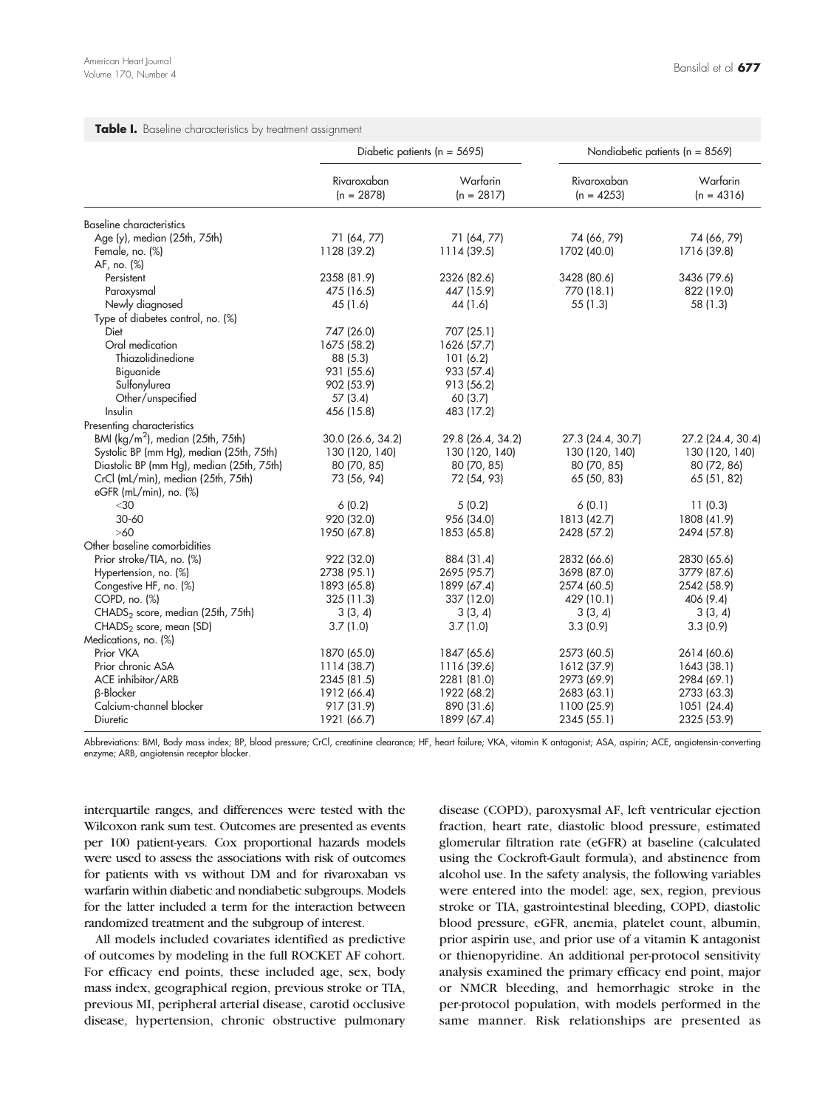#### <span id="page-3-0"></span>Table I. Baseline characteristics by treatment assignment

|                                               |                             | Diabetic patients ( $n = 5695$ ) |                             | Nondiabetic patients ( $n = 8569$ ) |
|-----------------------------------------------|-----------------------------|----------------------------------|-----------------------------|-------------------------------------|
|                                               | Rivaroxaban<br>$(n = 2878)$ | Warfarin<br>$(n = 2817)$         | Rivaroxaban<br>$(n = 4253)$ | Warfarin<br>$(n = 4316)$            |
| Baseline characteristics                      |                             |                                  |                             |                                     |
| Age (y), median (25th, 75th)                  | 71 (64, 77)                 | 71 (64, 77)                      | 74 (66, 79)                 | 74 (66, 79)                         |
| Female, no. (%)                               | 1128 (39.2)                 | 1114 (39.5)                      | 1702 (40.0)                 | 1716 (39.8)                         |
| AF, no. (%)                                   |                             |                                  |                             |                                     |
| Persistent                                    | 2358 (81.9)                 | 2326 (82.6)                      | 3428 (80.6)                 | 3436 (79.6)                         |
| Paroxysmal                                    | 475 (16.5)                  | 447 (15.9)                       | 770 (18.1)                  | 822 (19.0)                          |
| Newly diagnosed                               | 45 (1.6)                    | 44 (1.6)                         | 55(1.3)                     | 58 (1.3)                            |
| Type of diabetes control, no. (%)             |                             |                                  |                             |                                     |
| Diet                                          | 747 (26.0)                  | 707 (25.1)                       |                             |                                     |
| Oral medication                               | 1675 (58.2)                 | 1626 (57.7)                      |                             |                                     |
| Thiazolidinedione                             | 88(5.3)                     | 101(6.2)                         |                             |                                     |
| Biguanide                                     | 931 (55.6)                  | 933 (57.4)                       |                             |                                     |
| Sulfonylurea                                  | 902 (53.9)                  | 913 (56.2)                       |                             |                                     |
| Other/unspecified                             | 57(3.4)                     | 60(3.7)                          |                             |                                     |
| Insulin                                       | 456 (15.8)                  | 483 (17.2)                       |                             |                                     |
| Presenting characteristics                    |                             |                                  |                             |                                     |
| BMI (kg/m <sup>2</sup> ), median (25th, 75th) | 30.0 (26.6, 34.2)           | 29.8 (26.4, 34.2)                | 27.3 (24.4, 30.7)           | 27.2 (24.4, 30.4)                   |
| Systolic BP (mm Hg), median (25th, 75th)      | 130 (120, 140)              | 130 (120, 140)                   | 130 (120, 140)              | 130 (120, 140)                      |
| Diastolic BP (mm Hg), median (25th, 75th)     | 80 (70, 85)                 | 80 (70, 85)                      | 80 (70, 85)                 | 80 (72, 86)                         |
| CrCl (mL/min), median (25th, 75th)            | 73 (56, 94)                 | 72 (54, 93)                      | 65 (50, 83)                 | 65 (51, 82)                         |
| eGFR (mL/min), no. (%)                        |                             |                                  |                             |                                     |
| $<$ 30                                        | 6(0.2)                      | 5(0.2)                           | 6(0.1)                      | 11(0.3)                             |
| $30 - 60$                                     | 920 (32.0)                  | 956 (34.0)                       | 1813 (42.7)                 | 1808 (41.9)                         |
| >60                                           | 1950 (67.8)                 | 1853 (65.8)                      | 2428 (57.2)                 | 2494 (57.8)                         |
| Other baseline comorbidities                  |                             |                                  |                             |                                     |
| Prior stroke/TIA, no. (%)                     | 922 (32.0)                  | 884 (31.4)                       | 2832 (66.6)                 | 2830 (65.6)                         |
| Hypertension, no. (%)                         | 2738 (95.1)                 | 2695 (95.7)                      | 3698 (87.0)                 | 3779 (87.6)                         |
| Congestive HF, no. (%)                        | 1893 (65.8)                 | 1899 (67.4)                      | 2574 (60.5)                 | 2542 (58.9)                         |
| $COPD$ , no. $(\%)$                           | 325(11.3)                   | 337 (12.0)                       | 429 (10.1)                  | 406 (9.4)                           |
| CHADS <sub>2</sub> score, median (25th, 75th) | 3(3, 4)                     | 3(3, 4)                          | 3(3, 4)                     | 3(3, 4)                             |
| CHADS <sub>2</sub> score, mean (SD)           | 3.7(1.0)                    | 3.7(1.0)                         | 3.3(0.9)                    | 3.3(0.9)                            |
| Medications, no. (%)                          |                             |                                  |                             |                                     |
| Prior VKA                                     | 1870 (65.0)                 | 1847 (65.6)                      | 2573 (60.5)                 | 2614 (60.6)                         |
| Prior chronic ASA                             | 1114 (38.7)                 | 1116 (39.6)                      | 1612 (37.9)                 | 1643 (38.1)                         |
| ACE inhibitor/ARB                             | 2345 (81.5)                 | 2281 (81.0)                      | 2973 (69.9)                 | 2984 (69.1)                         |
| <b>B-Blocker</b>                              | 1912 (66.4)                 | 1922 (68.2)                      | 2683 (63.1)                 | 2733 (63.3)                         |
| Calcium-channel blocker                       | 917 (31.9)                  | 890 (31.6)                       | 1100 (25.9)                 | 1051 (24.4)                         |
| Diuretic                                      | 1921 (66.7)                 | 1899 (67.4)                      | 2345 (55.1)                 | 2325 (53.9)                         |

Abbreviations: BMI, Body mass index; BP, blood pressure; CrCl, creatinine clearance; HF, heart failure; VKA, vitamin K antagonist; ASA, aspirin; ACE, angiotensin-converting enzyme; ARB, angiotensin receptor blocker.

interquartile ranges, and differences were tested with the Wilcoxon rank sum test. Outcomes are presented as events per 100 patient-years. Cox proportional hazards models were used to assess the associations with risk of outcomes for patients with vs without DM and for rivaroxaban vs warfarin within diabetic and nondiabetic subgroups. Models for the latter included a term for the interaction between randomized treatment and the subgroup of interest.

All models included covariates identified as predictive of outcomes by modeling in the full ROCKET AF cohort. For efficacy end points, these included age, sex, body mass index, geographical region, previous stroke or TIA, previous MI, peripheral arterial disease, carotid occlusive disease, hypertension, chronic obstructive pulmonary disease (COPD), paroxysmal AF, left ventricular ejection fraction, heart rate, diastolic blood pressure, estimated glomerular filtration rate (eGFR) at baseline (calculated using the Cockroft-Gault formula), and abstinence from alcohol use. In the safety analysis, the following variables were entered into the model: age, sex, region, previous stroke or TIA, gastrointestinal bleeding, COPD, diastolic blood pressure, eGFR, anemia, platelet count, albumin, prior aspirin use, and prior use of a vitamin K antagonist or thienopyridine. An additional per-protocol sensitivity analysis examined the primary efficacy end point, major or NMCR bleeding, and hemorrhagic stroke in the per-protocol population, with models performed in the same manner. Risk relationships are presented as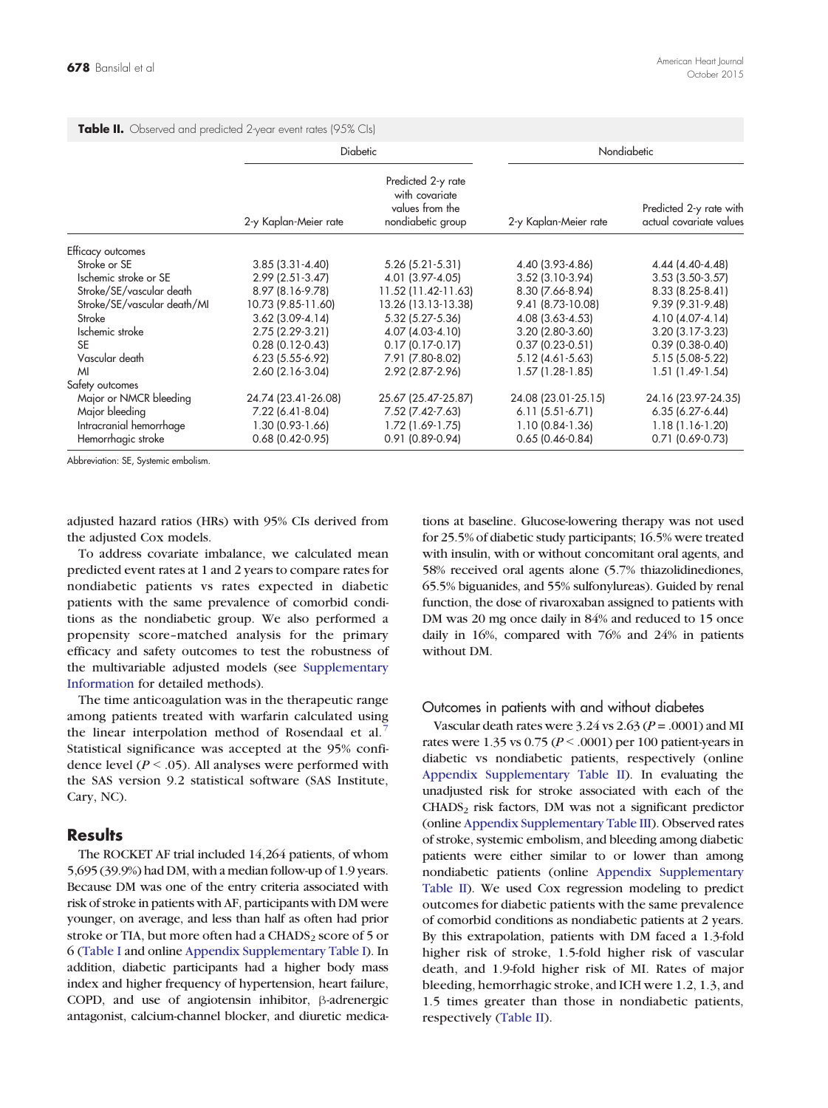|                             | <b>Diabetic</b>        |                                                                              |                       | Nondiabetic                                        |  |  |
|-----------------------------|------------------------|------------------------------------------------------------------------------|-----------------------|----------------------------------------------------|--|--|
|                             | 2-y Kaplan-Meier rate  | Predicted 2-y rate<br>with covariate<br>values from the<br>nondiabetic group | 2-y Kaplan-Meier rate | Predicted 2-y rate with<br>actual covariate values |  |  |
| Efficacy outcomes           |                        |                                                                              |                       |                                                    |  |  |
| Stroke or SE                | $3.85$ $(3.31 - 4.40)$ | $5.26$ (5.21-5.31)                                                           | 4.40 (3.93-4.86)      | 4.44 (4.40-4.48)                                   |  |  |
| Ischemic stroke or SE       | $2.99$ (2.51-3.47)     | 4.01 (3.97-4.05)                                                             | $3.52$ (3.10-3.94)    | $3.53$ $(3.50-3.57)$                               |  |  |
| Stroke/SE/vascular death    | 8.97 (8.16-9.78)       | 11.52 (11.42-11.63)                                                          | 8.30 (7.66-8.94)      | 8.33 (8.25-8.41)                                   |  |  |
| Stroke/SE/vascular death/MI | 10.73 (9.85-11.60)     | 13.26 (13.13-13.38)                                                          | 9.41 (8.73-10.08)     | 9.39 (9.31-9.48)                                   |  |  |
| Stroke                      | $3.62$ (3.09-4.14)     | 5.32 (5.27-5.36)                                                             | 4.08 (3.63-4.53)      | 4.10 (4.07-4.14)                                   |  |  |
| Ischemic stroke             | 2.75 (2.29-3.21)       | 4.07 (4.03-4.10)                                                             | $3.20$ (2.80-3.60)    | $3.20$ $(3.17-3.23)$                               |  |  |
| <b>SE</b>                   | $0.28$ (0.12-0.43)     | $0.17$ (0.17-0.17)                                                           | $0.37(0.23-0.51)$     | $0.39$ (0.38-0.40)                                 |  |  |
| Vascular death              | $6.23$ (5.55-6.92)     | 7.91 (7.80-8.02)                                                             | 5.12 (4.61-5.63)      | 5.15 (5.08-5.22)                                   |  |  |
| M                           | $2.60(2.16-3.04)$      | 2.92 (2.87-2.96)                                                             | 1.57 (1.28-1.85)      | $1.51(1.49-1.54)$                                  |  |  |
| Safety outcomes             |                        |                                                                              |                       |                                                    |  |  |
| Major or NMCR bleeding      | 24.74 (23.41-26.08)    | 25.67 (25.47-25.87)                                                          | 24.08 (23.01-25.15)   | 24.16 (23.97-24.35)                                |  |  |
| Major bleeding              | 7.22 (6.41-8.04)       | 7.52 (7.42-7.63)                                                             | $6.11(5.51-6.71)$     | $6.35(6.27 - 6.44)$                                |  |  |
| Intracranial hemorrhage     | 1.30 (0.93-1.66)       | 1.72 (1.69-1.75)                                                             | 1.10 (0.84-1.36)      | $1.18(1.16-1.20)$                                  |  |  |
| Hemorrhagic stroke          | $0.68$ (0.42-0.95)     | $0.91(0.89 - 0.94)$                                                          | $0.65$ (0.46-0.84)    | $0.71$ (0.69-0.73)                                 |  |  |

<span id="page-4-0"></span>Table II. Observed and predicted 2-year event rates (95% CIs)

Abbreviation: SE, Systemic embolism.

adjusted hazard ratios (HRs) with 95% CIs derived from the adjusted Cox models.

To address covariate imbalance, we calculated mean predicted event rates at 1 and 2 years to compare rates for nondiabetic patients vs rates expected in diabetic patients with the same prevalence of comorbid conditions as the nondiabetic group. We also performed a propensity score–matched analysis for the primary efficacy and safety outcomes to test the robustness of the multivariable adjusted models (see [Supplementary](#page-9-0) [Information](#page-9-0) for detailed methods).

The time anticoagulation was in the therapeutic range among patients treated with warfarin calculated using the linear interpolation method of Rosendaal et al[.](#page-7-0)<sup>[7](#page-7-0)</sup> Statistical significance was accepted at the 95% confidence level ( $P < .05$ ). All analyses were performed with the SAS version 9.2 statistical software (SAS Institute, Cary, NC).

#### Results

The ROCKET AF trial included 14,264 patients, of whom 5,695 (39.9%) had DM, with a median follow-up of 1.9 years. Because DM was one of the entry criteria associated with risk of stroke in patients with AF, participants with DM were younger, on average, and less than half as often had prior stroke or TIA, but more often had a CHADS<sub>2</sub> score of 5 or 6 [\(Table I](#page-3-0) and online [Appendix Supplementary Table I\)](#page-9-0). In addition, diabetic participants had a higher body mass index and higher frequency of hypertension, heart failure, COPD, and use of angiotensin inhibitor, β-adrenergic antagonist, calcium-channel blocker, and diuretic medications at baseline. Glucose-lowering therapy was not used for 25.5% of diabetic study participants; 16.5% were treated with insulin, with or without concomitant oral agents, and 58% received oral agents alone (5.7% thiazolidinediones, 65.5% biguanides, and 55% sulfonylureas). Guided by renal function, the dose of rivaroxaban assigned to patients with DM was 20 mg once daily in 84% and reduced to 15 once daily in 16%, compared with 76% and 24% in patients without DM.

#### Outcomes in patients with and without diabetes

Vascular death rates were  $3.24$  vs  $2.63$  ( $P = .0001$ ) and MI rates were 1.35 vs  $0.75 (P \le 0.001)$  per 100 patient-years in diabetic vs nondiabetic patients, respectively (online [Appendix Supplementary Table II\)](#page-10-0). In evaluating the unadjusted risk for stroke associated with each of the  $CHADS<sub>2</sub>$  risk factors, DM was not a significant predictor (online [Appendix Supplementary Table III](#page-10-0)). Observed rates of stroke, systemic embolism, and bleeding among diabetic patients were either similar to or lower than among nondiabetic patients (online [Appendix Supplementary](#page-10-0) [Table II\)](#page-10-0). We used Cox regression modeling to predict outcomes for diabetic patients with the same prevalence of comorbid conditions as nondiabetic patients at 2 years. By this extrapolation, patients with DM faced a 1.3-fold higher risk of stroke, 1.5-fold higher risk of vascular death, and 1.9-fold higher risk of MI. Rates of major bleeding, hemorrhagic stroke, and ICH were 1.2, 1.3, and 1.5 times greater than those in nondiabetic patients, respectively (Table II).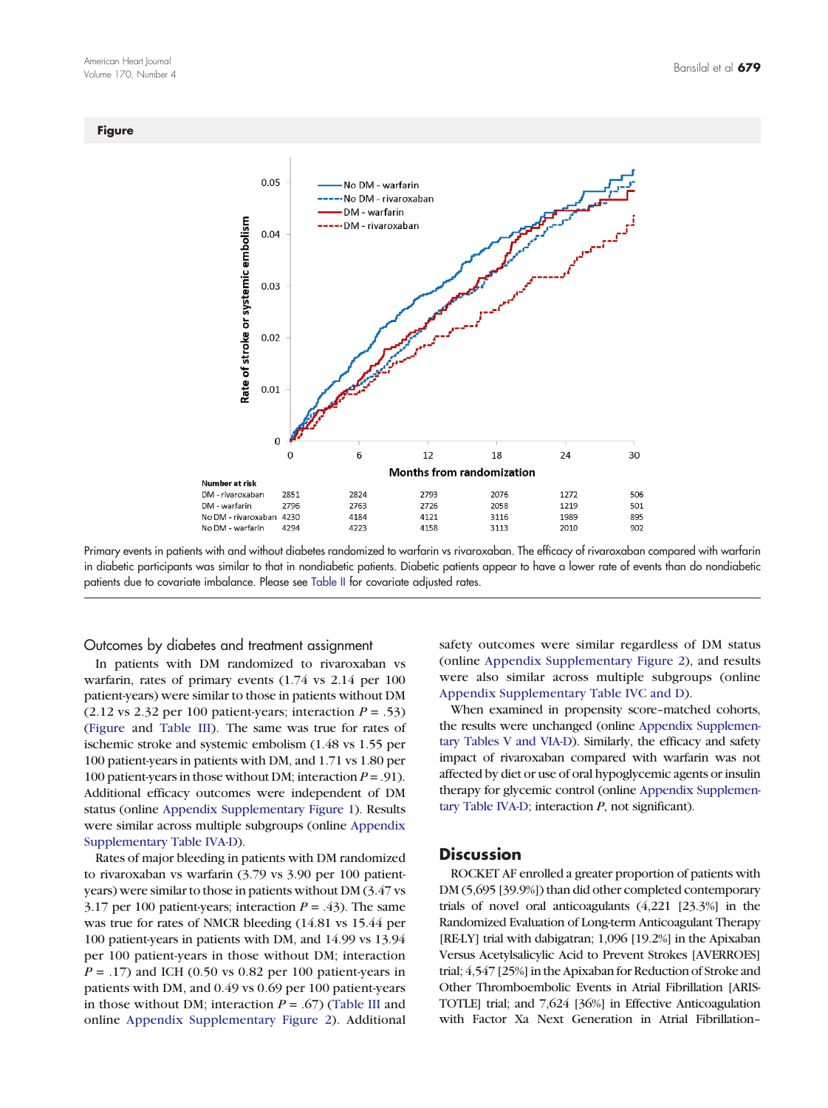#### **Figure**



Primary events in patients with and without diabetes randomized to warfarin vs rivaroxaban. The efficacy of rivaroxaban compared with warfarin in diabetic participants was similar to that in nondiabetic patients. Diabetic patients appear to have a lower rate of events than do nondiabetic patients due to covariate imbalance. Please see [Table II](#page-4-0) for covariate adjusted rates.

Outcomes by diabetes and treatment assignment

In patients with DM randomized to rivaroxaban vs warfarin, rates of primary events (1.74 vs 2.14 per 100 patient-years) were similar to those in patients without DM  $(2.12 \text{ vs } 2.32 \text{ per } 100 \text{ patient-years};$  interaction  $P = .53$ ) (Figure and [Table III](#page-6-0)). The same was true for rates of ischemic stroke and systemic embolism (1.48 vs 1.55 per 100 patient-years in patients with DM, and 1.71 vs 1.80 per 100 patient-years in those without DM; interaction  $P = .91$ ). Additional efficacy outcomes were independent of DM status (online Appendix Supplementary Figure 1). Results were similar across multiple subgroups (online [Appendix](#page-11-0) [Supplementary Table IVA-D\)](#page-11-0).

Rates of major bleeding in patients with DM randomized to rivaroxaban vs warfarin (3.79 vs 3.90 per 100 patientyears) were similar to those in patients without DM (3.47 vs 3.17 per 100 patient-years; interaction  $P = .43$ ). The same was true for rates of NMCR bleeding (14.81 vs 15.44 per 100 patient-years in patients with DM, and 14.99 vs 13.94 per 100 patient-years in those without DM; interaction  $P = .17$ ) and ICH (0.50 vs 0.82 per 100 patient-years in patients with DM, and 0.49 vs 0.69 per 100 patient-years in those without DM; interaction  $P = .67$ ) ([Table III](#page-6-0) and online Appendix Supplementary Figure 2). Additional safety outcomes were similar regardless of DM status (online Appendix Supplementary Figure 2), and results were also similar across multiple subgroups (online [Appendix Supplementary Table IVC and D\)](#page-11-0).

When examined in propensity score–matched cohorts, the results were unchanged (online [Appendix Supplemen](#page-13-0)[tary Tables V and VIA-D](#page-13-0)). Similarly, the efficacy and safety impact of rivaroxaban compared with warfarin was not affected by diet or use of oral hypoglycemic agents or insulin therapy for glycemic control (online [Appendix Supplemen](#page-11-0)[tary Table IVA-D](#page-11-0); interaction  $P$ , not significant).

#### **Discussion**

ROCKET AF enrolled a greater proportion of patients with DM (5,695 [39.9%]) than did other completed contemporary trials of novel oral anticoagulants (4,221 [23.3%] in the Randomized Evaluation of Long-term Anticoagulant Therapy [RE-LY] trial with dabigatran; 1,096 [19.2%] in the Apixaban Versus Acetylsalicylic Acid to Prevent Strokes [AVERROES] trial; 4,547 [25%] in the Apixaban for Reduction of Stroke and Other Thromboembolic Events in Atrial Fibrillation [ARIS-TOTLE] trial; and 7,624 [36%] in Effective Anticoagulation with Factor Xa Next Generation in Atrial Fibrillation–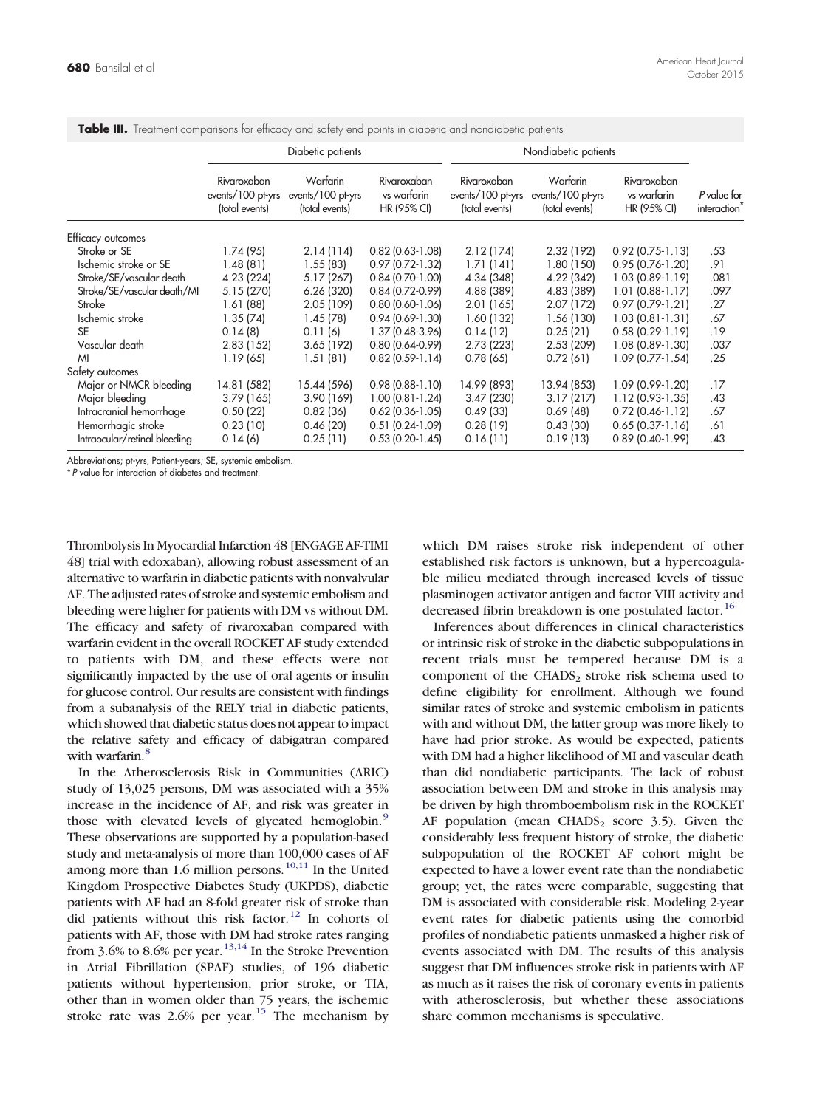|                              | Diabetic patients                                  |                                                 |                                           | Nondiabetic patients                               |                                                 |                                           |                                         |
|------------------------------|----------------------------------------------------|-------------------------------------------------|-------------------------------------------|----------------------------------------------------|-------------------------------------------------|-------------------------------------------|-----------------------------------------|
|                              | Rivaroxaban<br>events/100 pt-yrs<br>(total events) | Warfarin<br>events/100 pt-yrs<br>(total events) | Rivaroxaban<br>vs warfarin<br>HR (95% CI) | Rivaroxaban<br>events/100 pt-yrs<br>(total events) | Warfarin<br>events/100 pt-yrs<br>(total events) | Rivaroxaban<br>vs warfarin<br>HR (95% CI) | P value for<br>interaction <sup>7</sup> |
| Efficacy outcomes            |                                                    |                                                 |                                           |                                                    |                                                 |                                           |                                         |
| Stroke or SE                 | 1.74 (95)                                          | 2.14(114)                                       | $0.82$ (0.63-1.08)                        | 2.12(174)                                          | 2.32(192)                                       | $0.92$ (0.75-1.13)                        | .53                                     |
| Ischemic stroke or SE        | 1.48 (81)                                          | 1.55(83)                                        | $0.97$ (0.72-1.32)                        | 1.71(141)                                          | 1.80 (150)                                      | $0.95(0.76-1.20)$                         | .91                                     |
| Stroke/SE/vascular death     | 4.23 (224)                                         | 5.17 (267)                                      | $0.84(0.70-1.00)$                         | 4.34 (348)                                         | 4.22 (342)                                      | 1.03 (0.89-1.19)                          | .081                                    |
| Stroke/SE/vascular death/MI  | 5.15 (270)                                         | 6.26(320)                                       | $0.84(0.72-0.99)$                         | 4.88 (389)                                         | 4.83 (389)                                      | 1.01 (0.88-1.17)                          | .097                                    |
| Stroke                       | 1.61(88)                                           | 2.05 (109)                                      | $0.8010.60 - 1.061$                       | 2.01(165)                                          | 2.07 (172)                                      | $0.97(0.79-1.21)$                         | .27                                     |
| Ischemic stroke              | 1.35(74)                                           | 1.45(78)                                        | $0.94(0.69-1.30)$                         | 1.60 (132)                                         | 1.56 (130)                                      | $1.03(0.81-1.31)$                         | .67                                     |
| <b>SE</b>                    | 0.14(8)                                            | 0.11(6)                                         | 1.37 (0.48-3.96)                          | 0.14(12)                                           | 0.25(21)                                        | $0.58$ $(0.29 - 1.19)$                    | .19                                     |
| Vascular death               | 2.83(152)                                          | 3.65(192)                                       | $0.80$ (0.64-0.99)                        | 2.73 (223)                                         | 2.53(209)                                       | 1.08 (0.89-1.30)                          | .037                                    |
| MI                           | 1.19(65)                                           | 1.51(81)                                        | $0.82$ (0.59-1.14)                        | 0.78(65)                                           | 0.72(61)                                        | 1.09 (0.77-1.54)                          | .25                                     |
| Safety outcomes              |                                                    |                                                 |                                           |                                                    |                                                 |                                           |                                         |
| Major or NMCR bleeding       | 14.81 (582)                                        | 15.44 (596)                                     | $0.98(0.88-1.10)$                         | 14.99 (893)                                        | 13.94 (853)                                     | 1.09 (0.99-1.20)                          | .17                                     |
| Major bleeding               | 3.79(165)                                          | 3.90 (169)                                      | $1.00(0.81-1.24)$                         | 3.47(230)                                          | 3.17(217)                                       | 1.12 (0.93-1.35)                          | .43                                     |
| Intracranial hemorrhage      | 0.50(22)                                           | 0.82(36)                                        | $0.62$ (0.36-1.05)                        | 0.49(33)                                           | 0.69(48)                                        | $0.72$ (0.46-1.12)                        | .67                                     |
| Hemorrhagic stroke           | 0.23(10)                                           | 0.46(20)                                        | $0.51(0.24-1.09)$                         | 0.28(19)                                           | 0.43(30)                                        | $0.65$ $(0.37 - 1.16)$                    | .61                                     |
| Intraocular/retinal bleeding | 0.14(6)                                            | 0.25(11)                                        | $0.53$ (0.20-1.45)                        | 0.16(11)                                           | 0.19(13)                                        | $0.89$ (0.40-1.99)                        | .43                                     |

<span id="page-6-0"></span>Table III. Treatment comparisons for efficacy and safety end points in diabetic and nondiabetic patients

Abbreviations; pt-yrs, Patient-years; SE, systemic embolism.

⁎ P value for interaction of diabetes and treatment.

Thrombolysis In Myocardial Infarction 48 [ENGAGE AF-TIMI 48] trial with edoxaban), allowing robust assessment of an alternative to warfarin in diabetic patients with nonvalvular AF. The adjusted rates of stroke and systemic embolism and bleeding were higher for patients with DM vs without DM. The efficacy and safety of rivaroxaban compared with warfarin evident in the overall ROCKET AF study extended to patients with DM, and these effects were not significantly impacted by the use of oral agents or insulin for glucose control. Our results are consistent with findings from a subanalysis of the RELY trial in diabetic patients, which showed that diabetic status does not appear to impact the relative safety and efficacy of dabigatran compared with warfarin[.](#page-7-0)<sup>[8](#page-7-0)</sup>

In the Atherosclerosis Risk in Communities (ARIC) study of 13,025 persons, DM was associated with a 35% increase in the incidence of AF, and risk was greater in those with elevated levels of glycated hemoglobin[.](#page-7-0)<sup>[9](#page-7-0)</sup> These observations are supported by a population-based study and meta-analysis of more than 100,000 cases of AF among more than 1[.](#page-7-0)6 million persons.<sup>[10,11](#page-7-0)</sup> In the United Kingdom Prospective Diabetes Study (UKPDS), diabetic patients with AF had an 8-fold greater risk of stroke than did patients without this risk factor[.](#page-7-0)<sup>[12](#page-7-0)</sup> In cohorts of patients with AF, those with DM had stroke rates ranging from  $3.6\%$  to  $8.6\%$  per year.<sup>[13,14](#page-7-0)</sup> In the Stroke Prevention in Atrial Fibrillation (SPAF) studies, of 196 diabetic patients without hypertension, prior stroke, or TIA, other than in women older than 75 years, the ischemic stroke rate was  $2.6\%$  $2.6\%$  $2.6\%$  per year.<sup>[15](#page-8-0)</sup> The mechanism by which DM raises stroke risk independent of other established risk factors is unknown, but a hypercoagulable milieu mediated through increased levels of tissue plasminogen activator antigen and factor VIII activity and decreased fibrin breakdown is one postulated factor[.](#page-8-0)<sup>[16](#page-8-0)</sup>

Inferences about differences in clinical characteristics or intrinsic risk of stroke in the diabetic subpopulations in recent trials must be tempered because DM is a component of the CHADS<sub>2</sub> stroke risk schema used to define eligibility for enrollment. Although we found similar rates of stroke and systemic embolism in patients with and without DM, the latter group was more likely to have had prior stroke. As would be expected, patients with DM had a higher likelihood of MI and vascular death than did nondiabetic participants. The lack of robust association between DM and stroke in this analysis may be driven by high thromboembolism risk in the ROCKET AF population (mean  $CHADS<sub>2</sub>$  score 3.5). Given the considerably less frequent history of stroke, the diabetic subpopulation of the ROCKET AF cohort might be expected to have a lower event rate than the nondiabetic group; yet, the rates were comparable, suggesting that DM is associated with considerable risk. Modeling 2-year event rates for diabetic patients using the comorbid profiles of nondiabetic patients unmasked a higher risk of events associated with DM. The results of this analysis suggest that DM influences stroke risk in patients with AF as much as it raises the risk of coronary events in patients with atherosclerosis, but whether these associations share common mechanisms is speculative.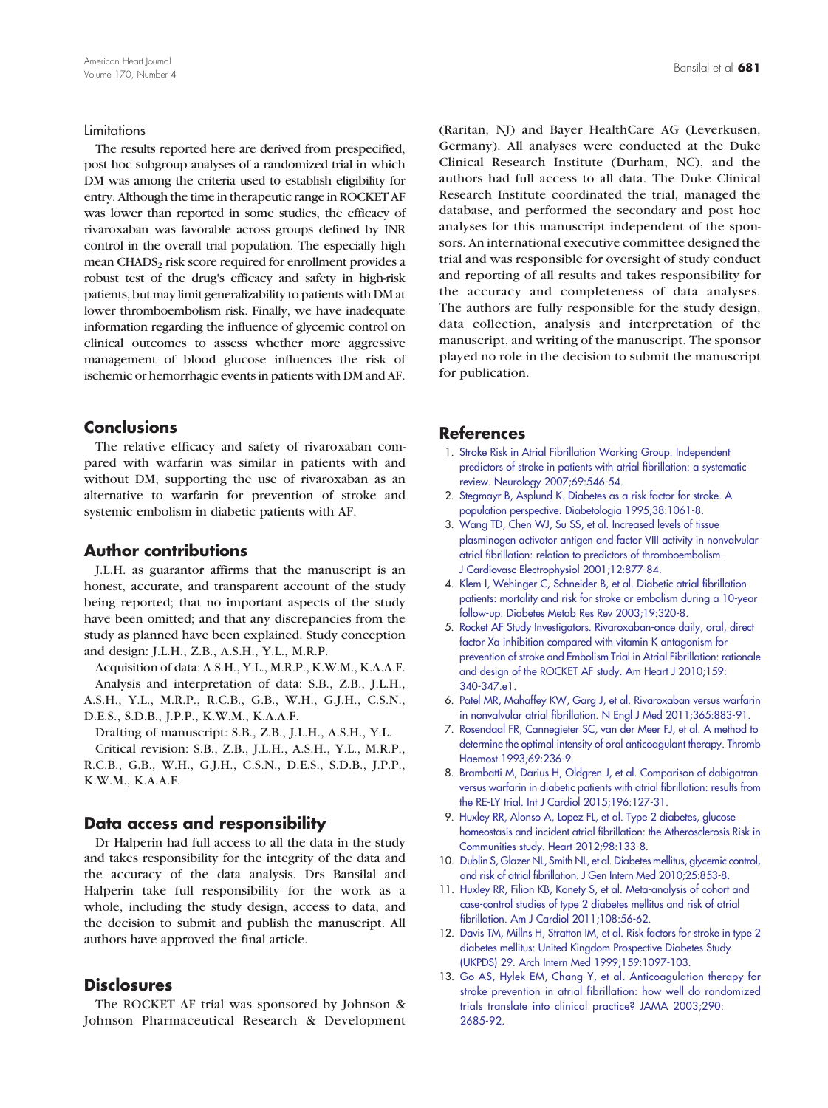#### <span id="page-7-0"></span>Limitations

The results reported here are derived from prespecified, post hoc subgroup analyses of a randomized trial in which DM was among the criteria used to establish eligibility for entry. Although the time in therapeutic range in ROCKET AF was lower than reported in some studies, the efficacy of rivaroxaban was favorable across groups defined by INR control in the overall trial population. The especially high mean  $CHADS<sub>2</sub>$  risk score required for enrollment provides a robust test of the drug's efficacy and safety in high-risk patients, but may limit generalizability to patients with DM at lower thromboembolism risk. Finally, we have inadequate information regarding the influence of glycemic control on clinical outcomes to assess whether more aggressive management of blood glucose influences the risk of ischemic or hemorrhagic events in patients with DM and AF.

# **Conclusions**

The relative efficacy and safety of rivaroxaban compared with warfarin was similar in patients with and without DM, supporting the use of rivaroxaban as an alternative to warfarin for prevention of stroke and systemic embolism in diabetic patients with AF.

#### Author contributions

J.L.H. as guarantor affirms that the manuscript is an honest, accurate, and transparent account of the study being reported; that no important aspects of the study have been omitted; and that any discrepancies from the study as planned have been explained. Study conception and design: J.L.H., Z.B., A.S.H., Y.L., M.R.P.

Acquisition of data: A.S.H., Y.L., M.R.P., K.W.M., K.A.A.F. Analysis and interpretation of data: S.B., Z.B., J.L.H., A.S.H., Y.L., M.R.P., R.C.B., G.B., W.H., G.J.H., C.S.N.,

D.E.S., S.D.B., J.P.P., K.W.M., K.A.A.F.

Drafting of manuscript: S.B., Z.B., J.L.H., A.S.H., Y.L. Critical revision: S.B., Z.B., J.L.H., A.S.H., Y.L., M.R.P.,

R.C.B., G.B., W.H., G.J.H., C.S.N., D.E.S., S.D.B., J.P.P., K.W.M., K.A.A.F.

#### Data access and responsibility

Dr Halperin had full access to all the data in the study and takes responsibility for the integrity of the data and the accuracy of the data analysis. Drs Bansilal and Halperin take full responsibility for the work as a whole, including the study design, access to data, and the decision to submit and publish the manuscript. All authors have approved the final article.

# **Disclosures**

The ROCKET AF trial was sponsored by Johnson & Johnson Pharmaceutical Research & Development (Raritan, NJ) and Bayer HealthCare AG (Leverkusen, Germany). All analyses were conducted at the Duke Clinical Research Institute (Durham, NC), and the authors had full access to all data. The Duke Clinical Research Institute coordinated the trial, managed the database, and performed the secondary and post hoc analyses for this manuscript independent of the sponsors. An international executive committee designed the trial and was responsible for oversight of study conduct and reporting of all results and takes responsibility for the accuracy and completeness of data analyses. The authors are fully responsible for the study design, data collection, analysis and interpretation of the manuscript, and writing of the manuscript. The sponsor played no role in the decision to submit the manuscript for publication.

# References

- 1. [Stroke Risk in Atrial Fibrillation Working Group. Independent](http://refhub.elsevier.com/S0002-8703(15)00443-3/rf0005) [predictors of stroke in patients with atrial fibrillation: a systematic](http://refhub.elsevier.com/S0002-8703(15)00443-3/rf0005) [review. Neurology 2007;69:546-54.](http://refhub.elsevier.com/S0002-8703(15)00443-3/rf0005)
- 2. [Stegmayr B, Asplund K. Diabetes as a risk factor for stroke. A](http://refhub.elsevier.com/S0002-8703(15)00443-3/rf0010) [population perspective. Diabetologia 1995;38:1061-8.](http://refhub.elsevier.com/S0002-8703(15)00443-3/rf0010)
- 3. [Wang TD, Chen WJ, Su SS, et al. Increased levels of tissue](http://refhub.elsevier.com/S0002-8703(15)00443-3/rf0015) [plasminogen activator antigen and factor VIII activity in nonvalvular](http://refhub.elsevier.com/S0002-8703(15)00443-3/rf0015) [atrial fibrillation: relation to predictors of thromboembolism.](http://refhub.elsevier.com/S0002-8703(15)00443-3/rf0015) [J Cardiovasc Electrophysiol 2001;12:877-84.](http://refhub.elsevier.com/S0002-8703(15)00443-3/rf0015)
- 4. [Klem I, Wehinger C, Schneider B, et al. Diabetic atrial fibrillation](http://refhub.elsevier.com/S0002-8703(15)00443-3/rf0020) [patients: mortality and risk for stroke or embolism during a 10-year](http://refhub.elsevier.com/S0002-8703(15)00443-3/rf0020) [follow-up. Diabetes Metab Res Rev 2003;19:320-8.](http://refhub.elsevier.com/S0002-8703(15)00443-3/rf0020)
- 5. [Rocket AF Study Investigators. Rivaroxaban-once daily, oral, direct](http://refhub.elsevier.com/S0002-8703(15)00443-3/rf0075) [factor Xa inhibition compared with vitamin K antagonism for](http://refhub.elsevier.com/S0002-8703(15)00443-3/rf0075) [prevention of stroke and Embolism Trial in Atrial Fibrillation: rationale](http://refhub.elsevier.com/S0002-8703(15)00443-3/rf0075) [and design of the ROCKET AF study. Am Heart J 2010;159:](http://refhub.elsevier.com/S0002-8703(15)00443-3/rf0075) [340-347.e1.](http://refhub.elsevier.com/S0002-8703(15)00443-3/rf0075)
- 6. [Patel MR, Mahaffey KW, Garg J, et al. Rivaroxaban versus warfarin](http://refhub.elsevier.com/S0002-8703(15)00443-3/rf0025) [in nonvalvular atrial fibrillation. N Engl J Med 2011;365:883-91.](http://refhub.elsevier.com/S0002-8703(15)00443-3/rf0025)
- 7. [Rosendaal FR, Cannegieter SC, van der Meer FJ, et al. A method to](http://refhub.elsevier.com/S0002-8703(15)00443-3/rf0030) [determine the optimal intensity of oral anticoagulant therapy. Thromb](http://refhub.elsevier.com/S0002-8703(15)00443-3/rf0030) [Haemost 1993;69:236-9.](http://refhub.elsevier.com/S0002-8703(15)00443-3/rf0030)
- 8. [Brambatti M, Darius H, Oldgren J, et al. Comparison of dabigatran](http://refhub.elsevier.com/S0002-8703(15)00443-3/rf0035) [versus warfarin in diabetic patients with atrial fibrillation: results from](http://refhub.elsevier.com/S0002-8703(15)00443-3/rf0035) [the RE-LY trial. Int J Cardiol 2015;196:127-31.](http://refhub.elsevier.com/S0002-8703(15)00443-3/rf0035)
- 9. [Huxley RR, Alonso A, Lopez FL, et al. Type 2 diabetes, glucose](http://refhub.elsevier.com/S0002-8703(15)00443-3/rf0040) [homeostasis and incident atrial fibrillation: the Atherosclerosis Risk in](http://refhub.elsevier.com/S0002-8703(15)00443-3/rf0040) [Communities study. Heart 2012;98:133-8.](http://refhub.elsevier.com/S0002-8703(15)00443-3/rf0040)
- 10. [Dublin S, Glazer NL, Smith NL, et al. Diabetes mellitus, glycemic control,](http://refhub.elsevier.com/S0002-8703(15)00443-3/rf0045) [and risk of atrial fibrillation. J Gen Intern Med 2010;25:853-8.](http://refhub.elsevier.com/S0002-8703(15)00443-3/rf0045)
- 11. [Huxley RR, Filion KB, Konety S, et al. Meta-analysis of cohort and](http://refhub.elsevier.com/S0002-8703(15)00443-3/rf0050) [case-control studies of type 2 diabetes mellitus and risk of atrial](http://refhub.elsevier.com/S0002-8703(15)00443-3/rf0050) [fibrillation. Am J Cardiol 2011;108:56-62.](http://refhub.elsevier.com/S0002-8703(15)00443-3/rf0050)
- 12. [Davis TM, Millns H, Stratton IM, et al. Risk factors for stroke in type 2](http://refhub.elsevier.com/S0002-8703(15)00443-3/rf0055) [diabetes mellitus: United Kingdom Prospective Diabetes Study](http://refhub.elsevier.com/S0002-8703(15)00443-3/rf0055) [\(UKPDS\) 29. Arch Intern Med 1999;159:1097-103.](http://refhub.elsevier.com/S0002-8703(15)00443-3/rf0055)
- 13. [Go AS, Hylek EM, Chang Y, et al. Anticoagulation therapy for](http://refhub.elsevier.com/S0002-8703(15)00443-3/rf0060) [stroke prevention in atrial fibrillation: how well do randomized](http://refhub.elsevier.com/S0002-8703(15)00443-3/rf0060) [trials translate into clinical practice? JAMA 2003;290:](http://refhub.elsevier.com/S0002-8703(15)00443-3/rf0060) [2685-92.](http://refhub.elsevier.com/S0002-8703(15)00443-3/rf0060)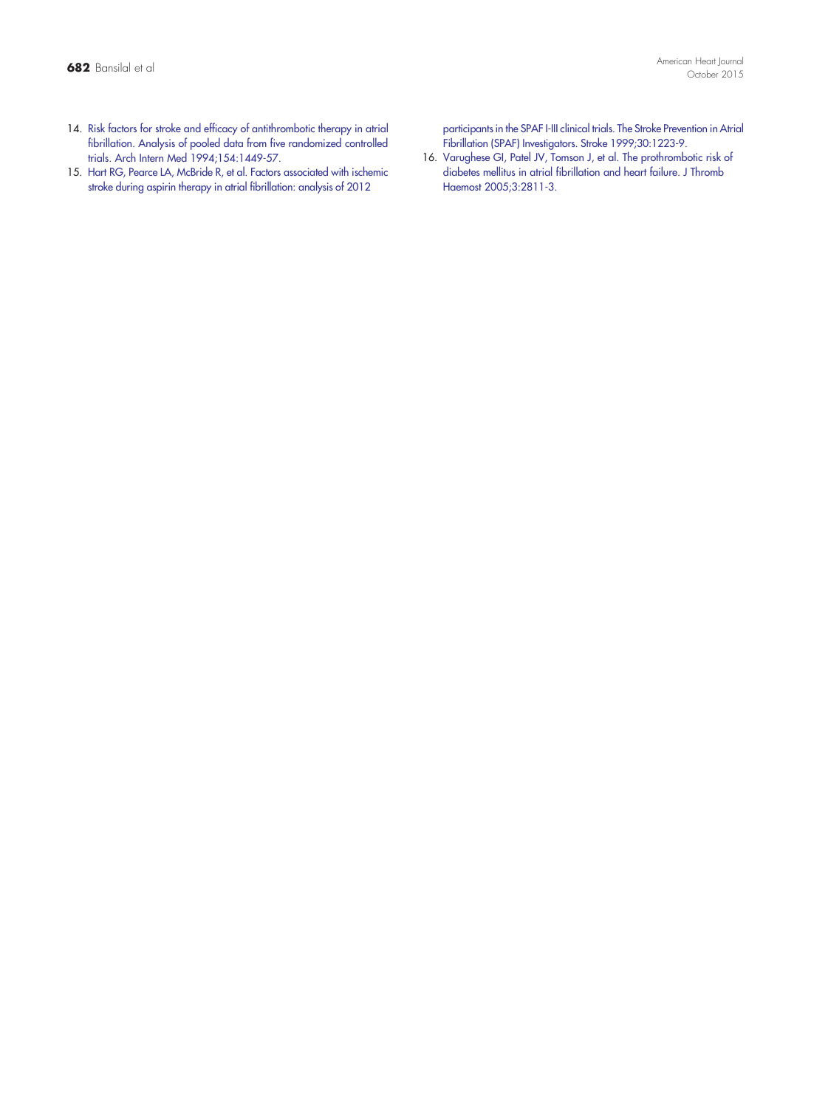<span id="page-8-0"></span>15. [Hart RG, Pearce LA, McBride R, et al. Factors associated with ischemic](http://refhub.elsevier.com/S0002-8703(15)00443-3/rf0065) [stroke during aspirin therapy in atrial fibrillation: analysis of 2012](http://refhub.elsevier.com/S0002-8703(15)00443-3/rf0065)

[participants in the SPAF I-III clinical trials. The Stroke Prevention in Atrial](http://refhub.elsevier.com/S0002-8703(15)00443-3/rf0065) [Fibrillation \(SPAF\) Investigators. Stroke 1999;30:1223-9.](http://refhub.elsevier.com/S0002-8703(15)00443-3/rf0065)

16. [Varughese GI, Patel JV, Tomson J, et al. The prothrombotic risk of](http://refhub.elsevier.com/S0002-8703(15)00443-3/rf0070) [diabetes mellitus in atrial fibrillation and heart failure. J Thromb](http://refhub.elsevier.com/S0002-8703(15)00443-3/rf0070) [Haemost 2005;3:2811-3.](http://refhub.elsevier.com/S0002-8703(15)00443-3/rf0070)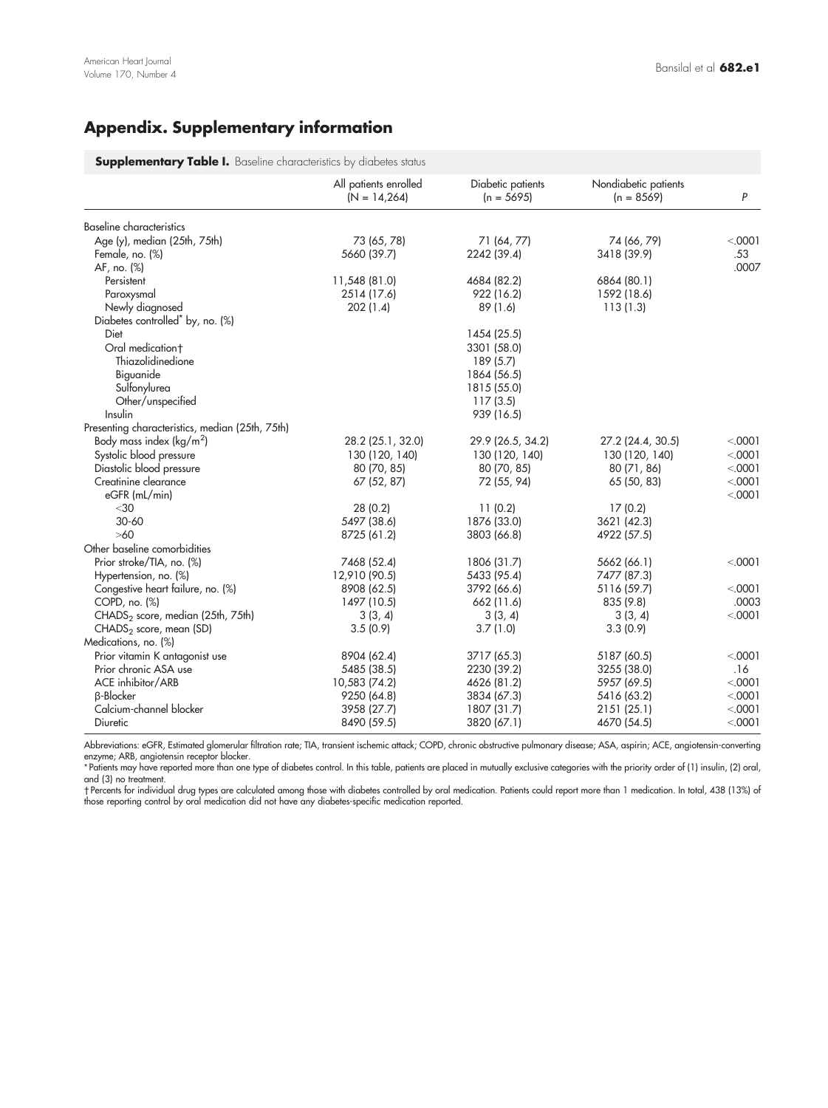# <span id="page-9-0"></span>Appendix. Supplementary information

**Supplementary Table I.** Baseline characteristics by diabetes status

|                                                 | All patients enrolled<br>$(N = 14,264)$ | Diabetic patients<br>$(n = 5695)$ | Nondiabetic patients<br>$(n = 8569)$ | P        |
|-------------------------------------------------|-----------------------------------------|-----------------------------------|--------------------------------------|----------|
| <b>Baseline characteristics</b>                 |                                         |                                   |                                      |          |
| Age (y), median (25th, 75th)                    | 73 (65, 78)                             | 71 (64, 77)                       | 74 (66, 79)                          | < .0001  |
| Female, no. (%)                                 | 5660 (39.7)                             | 2242 (39.4)                       | 3418 (39.9)                          | .53      |
| AF, no. (%)                                     |                                         |                                   |                                      | .0007    |
| Persistent                                      | 11,548 (81.0)                           | 4684 (82.2)                       | 6864 (80.1)                          |          |
| Paroxysmal                                      | 2514 (17.6)                             | 922 (16.2)                        | 1592 (18.6)                          |          |
| Newly diagnosed                                 | 202(1.4)                                | 89(1.6)                           | 113(1.3)                             |          |
| Diabetes controlled <sup>*</sup> by, no. (%)    |                                         |                                   |                                      |          |
| Diet                                            |                                         | 1454 (25.5)                       |                                      |          |
| Oral medication+                                |                                         | 3301 (58.0)                       |                                      |          |
| Thiazolidinedione                               |                                         | 189 (5.7)                         |                                      |          |
| Biguanide                                       |                                         | 1864 (56.5)                       |                                      |          |
| Sulfonylurea                                    |                                         | 1815 (55.0)                       |                                      |          |
| Other/unspecified                               |                                         | 117(3.5)                          |                                      |          |
| Insulin                                         |                                         | 939 (16.5)                        |                                      |          |
| Presenting characteristics, median (25th, 75th) |                                         |                                   |                                      |          |
| Body mass index ( $\text{kg/m}^2$ )             | 28.2 (25.1, 32.0)                       | 29.9 (26.5, 34.2)                 | 27.2 (24.4, 30.5)                    | < 0.0001 |
| Systolic blood pressure                         | 130 (120, 140)                          | 130 (120, 140)                    | 130 (120, 140)                       | < .0001  |
| Diastolic blood pressure                        | 80 (70, 85)                             | 80 (70, 85)                       | 80 (71, 86)                          | < .0001  |
| Creatinine clearance                            | 67 (52, 87)                             | 72 (55, 94)                       | 65(50, 83)                           | < 0001   |
| eGFR (mL/min)                                   |                                         |                                   |                                      | < 0.0001 |
| $<$ 30                                          | 28 (0.2)                                | 11(0.2)                           | 17(0.2)                              |          |
| $30 - 60$                                       | 5497 (38.6)                             | 1876 (33.0)                       | 3621 (42.3)                          |          |
| $>60$                                           | 8725 (61.2)                             | 3803 (66.8)                       | 4922 (57.5)                          |          |
| Other baseline comorbidities                    |                                         |                                   |                                      |          |
| Prior stroke/TIA, no. (%)                       | 7468 (52.4)                             | 1806 (31.7)                       | 5662 (66.1)                          | < .0001  |
| Hypertension, no. (%)                           | 12,910 (90.5)                           | 5433 (95.4)                       | 7477 (87.3)                          |          |
| Congestive heart failure, no. (%)               | 8908 (62.5)                             | 3792 (66.6)                       | 5116 (59.7)                          | < 0.001  |
| COPD, no. (%)                                   | 1497 (10.5)                             | 662 (11.6)                        | 835 (9.8)                            | .0003    |
| CHADS <sub>2</sub> score, median (25th, 75th)   | 3(3, 4)                                 | 3(3, 4)                           | 3(3, 4)                              | < 0001   |
| CHADS <sub>2</sub> score, mean (SD)             | 3.5(0.9)                                | 3.7(1.0)                          | 3.3(0.9)                             |          |
| Medications, no. (%)                            |                                         |                                   |                                      |          |
| Prior vitamin K antagonist use                  | 8904 (62.4)                             | 3717 (65.3)                       | 5187 (60.5)                          | < 0.0001 |
| Prior chronic ASA use                           | 5485 (38.5)                             | 2230 (39.2)                       | 3255 (38.0)                          | .16      |
| ACE inhibitor/ARB                               | 10,583 (74.2)                           | 4626 (81.2)                       | 5957 (69.5)                          | < .0001  |
| <b>B-Blocker</b>                                | 9250 (64.8)                             | 3834 (67.3)                       | 5416 (63.2)                          | < 0001   |
| Calcium-channel blocker                         | 3958 (27.7)                             | 1807 (31.7)                       | 2151(25.1)                           | < 0001   |
| Diuretic                                        | 8490 (59.5)                             | 3820 (67.1)                       | 4670 (54.5)                          | < .0001  |

Abbreviations: eGFR, Estimated glomerular filtration rate; TIA, transient ischemic attack; COPD, chronic obstructive pulmonary disease; ASA, aspirin; ACE, angiotensin-converting

enzyme; ARB, angiotensin receptor blocker.<br>\*Patients may have reported more than one type of diabetes control. In this table, patients are placed in mutually exclusive categories with the priority order of (1) insulin, (2) and (3) no treatment.

†Percents for individual drug types are calculated among those with diabetes controlled by oral medication. Patients could report more than 1 medication. In total, 438 (13%) ol<br>those reporting control by oral medication di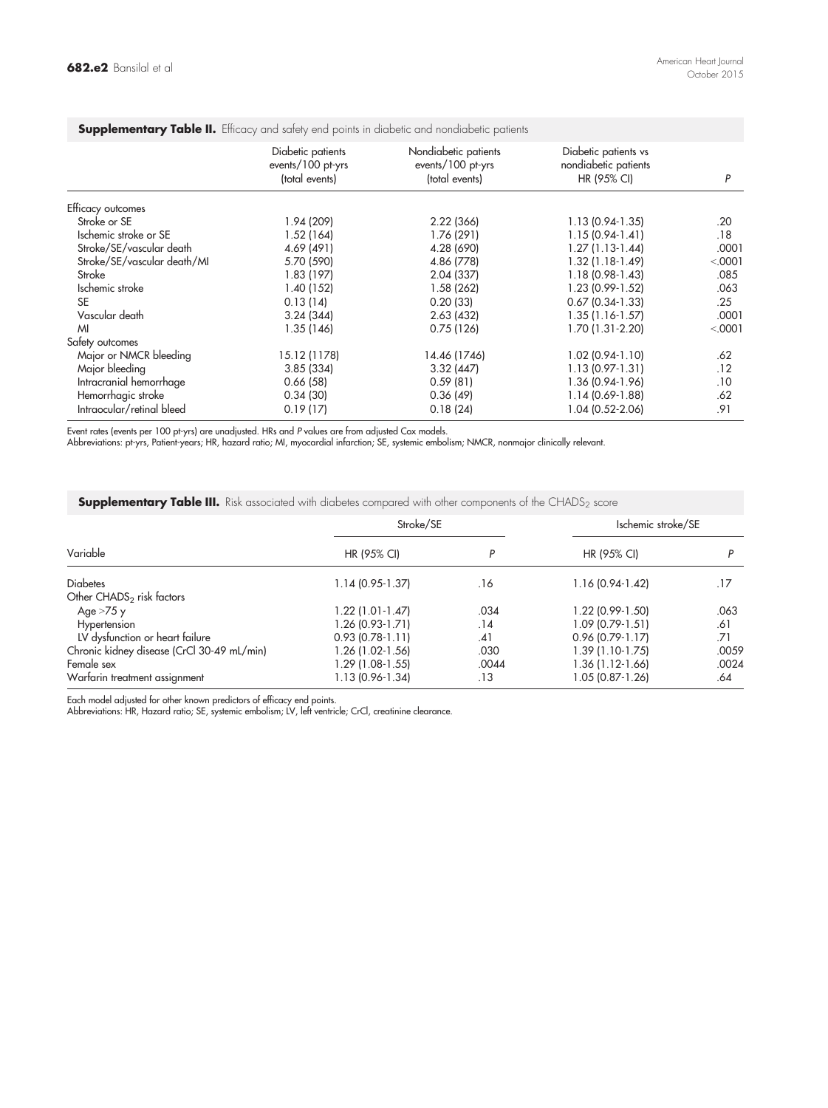| <b>Supplementary Table II.</b> Efficacy and safety end points in didpetic and nondidpetic patients |                                                          |                                                             |                                                             |          |
|----------------------------------------------------------------------------------------------------|----------------------------------------------------------|-------------------------------------------------------------|-------------------------------------------------------------|----------|
|                                                                                                    | Diabetic patients<br>events/100 pt-yrs<br>(total events) | Nondiabetic patients<br>events/100 pt-yrs<br>(total events) | Diabetic patients vs<br>nondiabetic patients<br>HR (95% CI) | P        |
| Efficacy outcomes                                                                                  |                                                          |                                                             |                                                             |          |
| Stroke or SE                                                                                       | 1.94 (209)                                               | 2.22 (366)                                                  | 1.13 (0.94-1.35)                                            | .20      |
| Ischemic stroke or SE                                                                              | 1.52(164)                                                | 1.76 (291)                                                  | $1.15(0.94-1.41)$                                           | .18      |
| Stroke/SE/vascular death                                                                           | 4.69 (491)                                               | 4.28 (690)                                                  | $1.27(1.13-1.44)$                                           | .0001    |
| Stroke/SE/vascular death/MI                                                                        | 5.70 (590)                                               | 4.86 (778)                                                  | $1.32(1.18-1.49)$                                           | < 0001   |
| Stroke                                                                                             | 1.83(197)                                                | 2.04 (337)                                                  | 1.18 (0.98-1.43)                                            | .085     |
| Ischemic stroke                                                                                    | 1.40(152)                                                | 1.58 (262)                                                  | 1.23 (0.99-1.52)                                            | .063     |
| <b>SE</b>                                                                                          | 0.13(14)                                                 | 0.20(33)                                                    | $0.67$ (0.34-1.33)                                          | .25      |
| Vascular death                                                                                     | 3.24(344)                                                | 2.63(432)                                                   | $1.35(1.16-1.57)$                                           | .0001    |
| M                                                                                                  | 1.35 (146)                                               | 0.75(126)                                                   | 1.70 (1.31-2.20)                                            | < 0.0001 |
| Safety outcomes                                                                                    |                                                          |                                                             |                                                             |          |
| Major or NMCR bleeding                                                                             | 15.12 (1178)                                             | 14.46 (1746)                                                | $1.02(0.94-1.10)$                                           | .62      |
| Major bleeding                                                                                     | 3.85(334)                                                | 3.32(447)                                                   | $1.13(0.97-1.31)$                                           | .12      |
| Intracranial hemorrhage                                                                            | 0.66(58)                                                 | 0.59(81)                                                    | 1.36 (0.94-1.96)                                            | .10      |
| Hemorrhagic stroke                                                                                 | 0.34(30)                                                 | 0.36(49)                                                    | 1.14 (0.69-1.88)                                            | .62      |
| Intraocular/retinal bleed                                                                          | 0.19(17)                                                 | 0.18(24)                                                    | 1.04 (0.52-2.06)                                            | .91      |

# <span id="page-10-0"></span>Supplementary Table II. Efficacy and safety end points in diabetic and nondiabetic patients

Event rates (events per 100 pt-yrs) are unadjusted. HRs and P values are trom adjusted Cox models.<br>Abbreviations: pt-yrs, Patient-years; HR, hazard ratio; MI, myocardial infarction; SE, systemic embolism; NMCR, nonmajor cl

**Supplementary Table III.** Risk associated with diabetes compared with other components of the CHADS<sub>2</sub> score

|                                            | Stroke/SE         |       | Ischemic stroke/SE |       |
|--------------------------------------------|-------------------|-------|--------------------|-------|
| Variable                                   | HR (95% CI)       | D     | HR (95% CI)        |       |
| <b>Diabetes</b>                            | 1.14 (0.95-1.37)  | .16   | 1.16 (0.94-1.42)   | .17   |
| Other CHADS <sub>2</sub> risk factors      |                   |       |                    |       |
| Age $>75$ y                                | 1.22 (1.01-1.47)  | .034  | 1.22 (0.99-1.50)   | .063  |
| Hypertension                               | 1.26 (0.93-1.71)  | .14   | 1.09 (0.79-1.51)   | .61   |
| LV dysfunction or heart failure            | $0.93(0.78-1.11)$ | .41   | $0.96(0.79-1.17)$  | .71   |
| Chronic kidney disease (CrCl 30-49 mL/min) | 1.26 (1.02-1.56)  | .030  | 1.39 (1.10-1.75)   | .0059 |
| Female sex                                 | 1.29 (1.08-1.55)  | .0044 | 1.36 (1.12-1.66)   | .0024 |
| Warfarin treatment assignment              | 1.13 (0.96-1.34)  | .13   | 1.05 (0.87-1.26)   | .64   |

Each model adjusted for other known predictors of efficacy end points. Abbreviations: HR, Hazard ratio; SE, systemic embolism; LV, left ventricle; CrCl, creatinine clearance.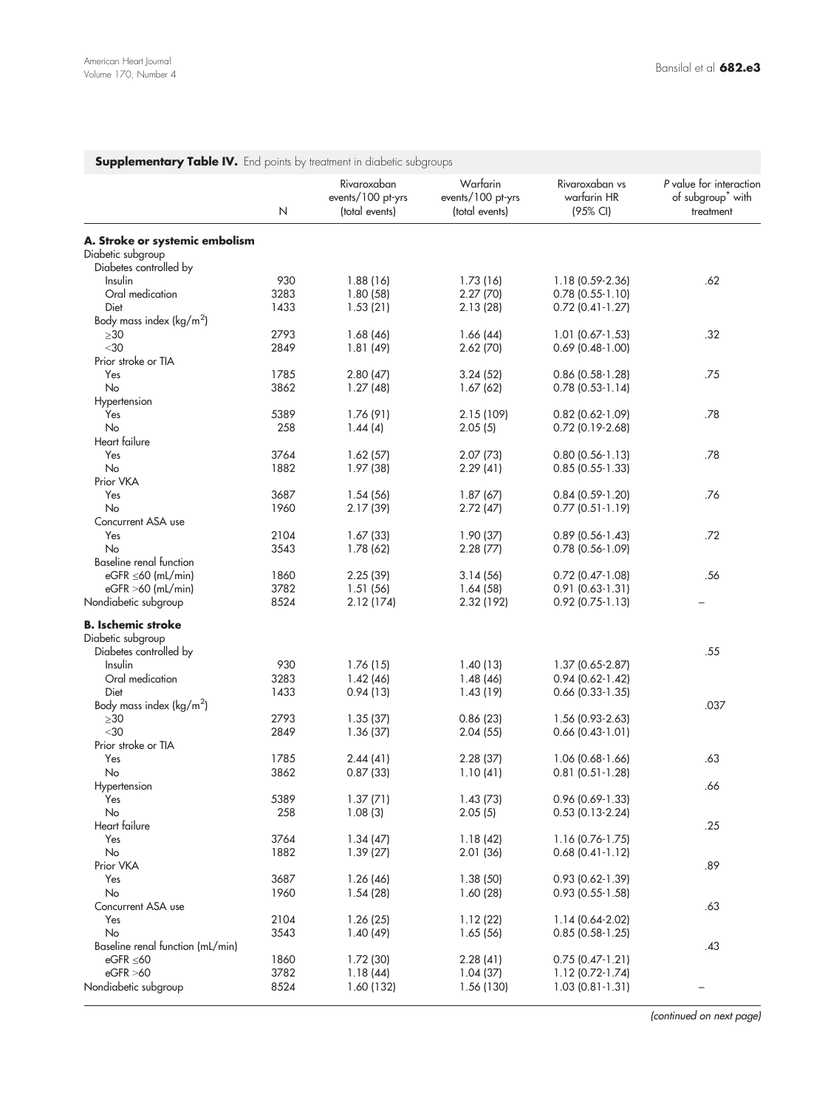<span id="page-11-0"></span>

|                                     | Ν    | Rivaroxaban<br>events/100 pt-yrs<br>(total events) | Warfarin<br>events/100 pt-yrs<br>(total events) | Rivaroxaban vs<br>warfarin HR<br>(95% CI) | P value for interaction<br>of subgroup <sup>*</sup> with<br>treatment |
|-------------------------------------|------|----------------------------------------------------|-------------------------------------------------|-------------------------------------------|-----------------------------------------------------------------------|
| A. Stroke or systemic embolism      |      |                                                    |                                                 |                                           |                                                                       |
| Diabetic subgroup                   |      |                                                    |                                                 |                                           |                                                                       |
| Diabetes controlled by              |      |                                                    |                                                 |                                           |                                                                       |
|                                     | 930  |                                                    |                                                 |                                           |                                                                       |
| Insulin<br>Oral medication          |      | 1.88(16)                                           | 1.73 (16)                                       | 1.18 (0.59-2.36)                          | .62                                                                   |
|                                     | 3283 | 1.80(58)                                           | 2.27(70)                                        | $0.78$ (0.55-1.10)                        |                                                                       |
| Diet                                | 1433 | 1.53(21)                                           | 2.13(28)                                        | $0.72$ (0.41-1.27)                        |                                                                       |
| Body mass index ( $\text{kg/m}^2$ ) |      |                                                    |                                                 |                                           |                                                                       |
| $\geq 30$                           | 2793 | 1.68(46)                                           | 1.66(44)                                        | $1.01$ (0.67-1.53)                        | .32                                                                   |
| $<$ 30                              | 2849 | 1.81(49)                                           | 2.62(70)                                        | $0.69$ (0.48-1.00)                        |                                                                       |
| Prior stroke or TIA                 |      |                                                    |                                                 |                                           |                                                                       |
| Yes                                 | 1785 | 2.80(47)                                           | 3.24(52)                                        | $0.86$ (0.58-1.28)                        | .75                                                                   |
| No                                  | 3862 | 1.27(48)                                           | 1.67(62)                                        | $0.78$ (0.53-1.14)                        |                                                                       |
| Hypertension                        |      |                                                    |                                                 |                                           |                                                                       |
| Yes                                 | 5389 | 1.76(91)                                           | 2.15 (109)                                      | $0.82$ (0.62-1.09)                        | .78                                                                   |
| No                                  | 258  | 1.44(4)                                            | 2.05(5)                                         | $0.72$ (0.19-2.68)                        |                                                                       |
| Heart failure                       |      |                                                    |                                                 |                                           |                                                                       |
| Yes                                 | 3764 | 1.62(57)                                           | 2.07(73)                                        | $0.80$ (0.56-1.13)                        | .78                                                                   |
| No                                  | 1882 | 1.97 (38)                                          | 2.29(41)                                        | $0.85$ (0.55-1.33)                        |                                                                       |
| Prior VKA                           |      |                                                    |                                                 |                                           |                                                                       |
| Yes                                 | 3687 | 1.54(56)                                           | 1.87(67)                                        | $0.84(0.59-1.20)$                         | .76                                                                   |
|                                     |      |                                                    |                                                 |                                           |                                                                       |
| No                                  | 1960 | 2.17(39)                                           | 2.72(47)                                        | $0.77$ (0.51-1.19)                        |                                                                       |
| Concurrent ASA use                  |      |                                                    |                                                 |                                           |                                                                       |
| Yes                                 | 2104 | 1.67(33)                                           | 1.90(37)                                        | $0.89$ (0.56-1.43)                        | .72                                                                   |
| No                                  | 3543 | 1.78 (62)                                          | 2.28(77)                                        | $0.78$ (0.56-1.09)                        |                                                                       |
| <b>Baseline renal function</b>      |      |                                                    |                                                 |                                           |                                                                       |
| eGFR $\leq 60$ (mL/min)             | 1860 | 2.25(39)                                           | 3.14(56)                                        | $0.72$ (0.47-1.08)                        | .56                                                                   |
| $eGFR > 60$ (mL/min)                | 3782 | 1.51(56)                                           | 1.64(58)                                        | $0.91(0.63-1.31)$                         |                                                                       |
| Nondiabetic subgroup                | 8524 | 2.12(174)                                          | 2.32 (192)                                      | $0.92$ (0.75-1.13)                        |                                                                       |
|                                     |      |                                                    |                                                 |                                           |                                                                       |
| <b>B.</b> Ischemic stroke           |      |                                                    |                                                 |                                           |                                                                       |
| Diabetic subgroup                   |      |                                                    |                                                 |                                           |                                                                       |
| Diabetes controlled by              |      |                                                    |                                                 |                                           | .55                                                                   |
| Insulin                             | 930  | 1.76(15)                                           | 1.40(13)                                        | 1.37 (0.65-2.87)                          |                                                                       |
| Oral medication                     | 3283 | 1.42(46)                                           | 1.48(46)                                        | $0.94(0.62-1.42)$                         |                                                                       |
| Diet                                | 1433 | 0.94(13)                                           | 1.43(19)                                        | $0.66$ (0.33-1.35)                        |                                                                       |
| Body mass index ( $\text{kg/m}^2$ ) |      |                                                    |                                                 |                                           | .037                                                                  |
| $\geq$ 30                           | 2793 | 1.35(37)                                           | 0.86(23)                                        | 1.56 (0.93-2.63)                          |                                                                       |
| $30$                                | 2849 | 1.36 (37)                                          | 2.04(55)                                        | $0.66(0.43-1.01)$                         |                                                                       |
| Prior stroke or TIA                 |      |                                                    |                                                 |                                           |                                                                       |
| Yes                                 | 1785 | 2.44(41)                                           | 2.28(37)                                        | 1.06 (0.68-1.66)                          | .63                                                                   |
| No                                  | 3862 | 0.87(33)                                           | 1.10(41)                                        | $0.81$ (0.51-1.28)                        |                                                                       |
| Hypertension                        |      |                                                    |                                                 |                                           | .66                                                                   |
| Yes                                 | 5389 | 1.37(71)                                           | 1.43(73)                                        | 0.96 (0.69-1.33)                          |                                                                       |
| No                                  | 258  |                                                    | 2.05(5)                                         | $0.53(0.13-2.24)$                         |                                                                       |
| Heart failure                       |      | 1.08(3)                                            |                                                 |                                           |                                                                       |
|                                     |      |                                                    |                                                 |                                           | .25                                                                   |
| Yes                                 | 3764 | 1.34(47)                                           | 1.18(42)                                        | 1.16 (0.76-1.75)                          |                                                                       |
| No                                  | 1882 | 1.39(27)                                           | 2.01(36)                                        | $0.68$ (0.41-1.12)                        |                                                                       |
| Prior VKA                           |      |                                                    |                                                 |                                           | .89                                                                   |
| Yes                                 | 3687 | 1.26(46)                                           | 1.38(50)                                        | $0.93$ $(0.62 - 1.39)$                    |                                                                       |
| No                                  | 1960 | 1.54(28)                                           | 1.60(28)                                        | $0.93$ (0.55-1.58)                        |                                                                       |
| Concurrent ASA use                  |      |                                                    |                                                 |                                           | .63                                                                   |
| Yes                                 | 2104 | 1.26(25)                                           | 1.12(22)                                        | 1.14 (0.64-2.02)                          |                                                                       |
| No                                  | 3543 | 1.40(49)                                           | 1.65(56)                                        | $0.85$ (0.58-1.25)                        |                                                                       |
| Baseline renal function (mL/min)    |      |                                                    |                                                 |                                           | .43                                                                   |
| eGFR $\leq 60$                      | 1860 | 1.72(30)                                           | 2.28(41)                                        | $0.75(0.47-1.21)$                         |                                                                       |
| eGFR > 60                           | 3782 | 1.18(44)                                           | 1.04(37)                                        | 1.12 (0.72-1.74)                          |                                                                       |
| Nondiabetic subgroup                | 8524 | 1.60 (132)                                         | 1.56 (130)                                      | $1.03(0.81 - 1.31)$                       |                                                                       |
|                                     |      |                                                    |                                                 |                                           |                                                                       |

(continued on next page)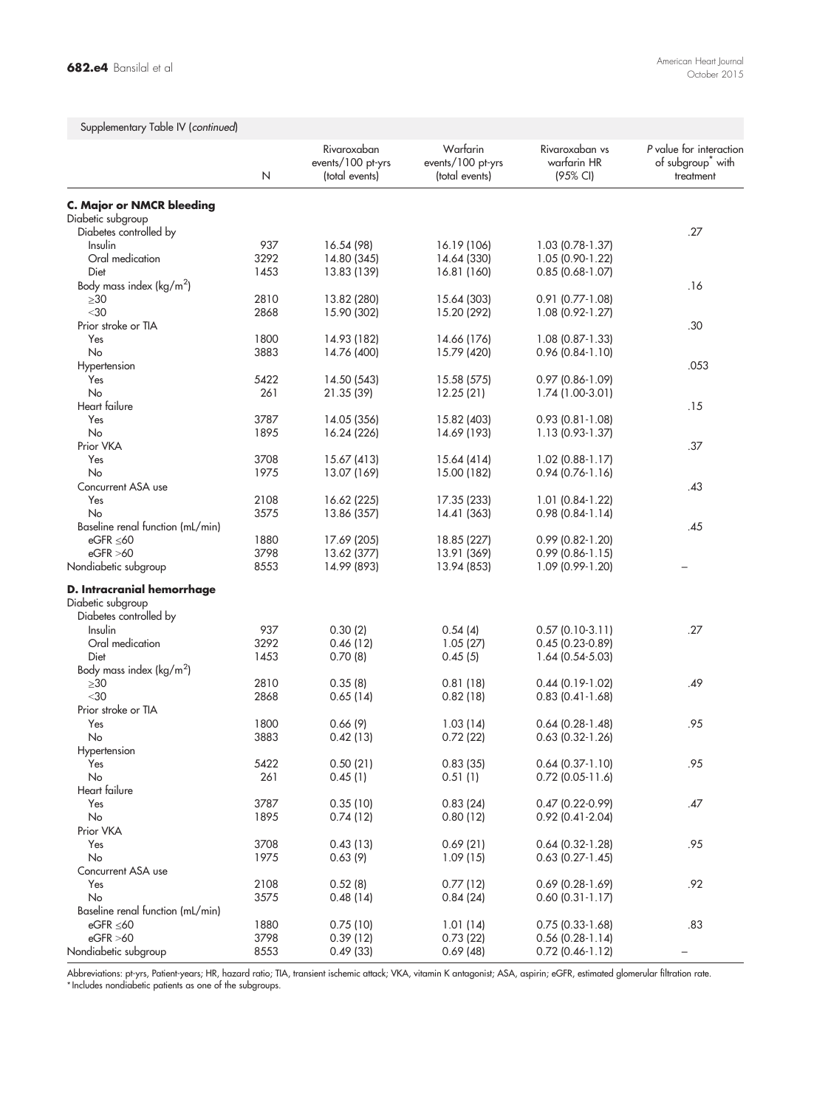# Supplementary Table IV (continued)

|                                             | N    | Rivaroxaban<br>events/100 pt-yrs<br>(total events) | Warfarin<br>events/100 pt-yrs<br>(total events) | Rivaroxaban vs<br>warfarin HR<br>(95% CI) | P value for interaction<br>of subgroup <sup>*</sup> with<br>treatment |
|---------------------------------------------|------|----------------------------------------------------|-------------------------------------------------|-------------------------------------------|-----------------------------------------------------------------------|
| <b>C. Major or NMCR bleeding</b>            |      |                                                    |                                                 |                                           |                                                                       |
| Diabetic subgroup                           |      |                                                    |                                                 |                                           |                                                                       |
| Diabetes controlled by                      |      |                                                    |                                                 |                                           | .27                                                                   |
| Insulin                                     | 937  | 16.54 (98)                                         | 16.19 (106)                                     | 1.03 (0.78-1.37)                          |                                                                       |
| Oral medication                             | 3292 | 14.80 (345)                                        | 14.64 (330)                                     | 1.05 (0.90-1.22)                          |                                                                       |
| Diet                                        | 1453 | 13.83 (139)                                        | 16.81 (160)                                     | $0.85(0.68-1.07)$                         |                                                                       |
| Body mass index ( $\text{kg/m}^2$ )         |      |                                                    |                                                 |                                           | .16                                                                   |
| $\geq 30$                                   | 2810 | 13.82 (280)                                        | 15.64 (303)                                     | $0.91(0.77-1.08)$                         |                                                                       |
| $<$ 30                                      | 2868 | 15.90 (302)                                        | 15.20 (292)                                     | 1.08 (0.92-1.27)                          |                                                                       |
| Prior stroke or TIA                         |      |                                                    |                                                 |                                           | .30                                                                   |
| Yes                                         | 1800 | 14.93 (182)                                        | 14.66 (176)                                     | $1.08$ (0.87-1.33)                        |                                                                       |
| No                                          | 3883 | 14.76 (400)                                        | 15.79 (420)                                     | $0.96(0.84-1.10)$                         |                                                                       |
| Hypertension                                |      |                                                    |                                                 |                                           | .053                                                                  |
| Yes                                         | 5422 | 14.50 (543)                                        | 15.58 (575)                                     | $0.97$ (0.86-1.09)                        |                                                                       |
| No<br>Heart failure                         | 261  | 21.35 (39)                                         | 12.25 (21)                                      | 1.74 (1.00-3.01)                          |                                                                       |
|                                             | 3787 |                                                    |                                                 |                                           | .15                                                                   |
| Yes<br>No                                   | 1895 | 14.05 (356)<br>16.24 (226)                         | 15.82 (403)<br>14.69 (193)                      | $0.93(0.81-1.08)$<br>1.13 (0.93-1.37)     |                                                                       |
| Prior VKA                                   |      |                                                    |                                                 |                                           | .37                                                                   |
| Yes                                         | 3708 | 15.67 (413)                                        | 15.64 (414)                                     | $1.02$ (0.88-1.17)                        |                                                                       |
| No                                          | 1975 | 13.07 (169)                                        | 15.00 (182)                                     | $0.94(0.76 - 1.16)$                       |                                                                       |
| Concurrent ASA use                          |      |                                                    |                                                 |                                           | .43                                                                   |
| Yes                                         | 2108 | 16.62 (225)                                        | 17.35 (233)                                     | $1.01(0.84-1.22)$                         |                                                                       |
| No                                          | 3575 | 13.86 (357)                                        | 14.41 (363)                                     | $0.98$ $(0.84 - 1.14)$                    |                                                                       |
| Baseline renal function (mL/min)            |      |                                                    |                                                 |                                           | .45                                                                   |
| eGFR $\leq 60$                              | 1880 | 17.69 (205)                                        | 18.85 (227)                                     | $0.99$ $(0.82 - 1.20)$                    |                                                                       |
| eGFR > 60                                   | 3798 | 13.62 (377)                                        | 13.91 (369)                                     | $0.99$ (0.86-1.15)                        |                                                                       |
| Nondiabetic subgroup                        | 8553 | 14.99 (893)                                        | 13.94 (853)                                     | 1.09 (0.99-1.20)                          |                                                                       |
| D. Intracranial hemorrhage                  |      |                                                    |                                                 |                                           |                                                                       |
| Diabetic subgroup<br>Diabetes controlled by |      |                                                    |                                                 |                                           |                                                                       |
| Insulin                                     | 937  | 0.30(2)                                            | 0.54(4)                                         | $0.57(0.10-3.11)$                         | .27                                                                   |
| Oral medication                             | 3292 | 0.46(12)                                           | 1.05(27)                                        | $0.45(0.23-0.89)$                         |                                                                       |
| Diet                                        | 1453 | 0.70(8)                                            | 0.45(5)                                         | 1.64 (0.54-5.03)                          |                                                                       |
| Body mass index ( $\text{kg/m}^2$ )         |      |                                                    |                                                 |                                           |                                                                       |
| $\geq 30$                                   | 2810 | 0.35(8)                                            | 0.81(18)                                        | $0.44(0.19-1.02)$                         | .49                                                                   |
| $<$ 30                                      | 2868 | 0.65(14)                                           | 0.82(18)                                        | $0.83(0.41-1.68)$                         |                                                                       |
| Prior stroke or TIA                         |      |                                                    |                                                 |                                           |                                                                       |
| Yes                                         | 1800 | 0.66(9)                                            | 1.03(14)                                        | $0.64$ (0.28-1.48)                        | .95                                                                   |
| No                                          | 3883 | 0.42(13)                                           | 0.72(22)                                        | $0.63$ (0.32-1.26)                        |                                                                       |
| Hypertension                                |      |                                                    |                                                 |                                           |                                                                       |
| Yes                                         | 5422 | 0.50(21)                                           | 0.83(35)                                        | $0.64$ (0.37-1.10)                        | .95                                                                   |
| No                                          | 261  | 0.45(1)                                            | 0.51(1)                                         | $0.72$ (0.05-11.6)                        |                                                                       |
| Heart failure                               |      |                                                    |                                                 |                                           |                                                                       |
| Yes                                         | 3787 | 0.35(10)                                           | 0.83(24)                                        | $0.47$ $(0.22 - 0.99)$                    | .47                                                                   |
| No                                          | 1895 | 0.74(12)                                           | 0.80(12)                                        | $0.92$ (0.41-2.04)                        |                                                                       |
| Prior VKA                                   |      |                                                    |                                                 |                                           |                                                                       |
| Yes                                         | 3708 | 0.43(13)                                           | 0.69(21)                                        | $0.64$ (0.32-1.28)                        | .95                                                                   |
| No                                          | 1975 | 0.63(9)                                            | 1.09(15)                                        | $0.63$ $(0.27 - 1.45)$                    |                                                                       |
| Concurrent ASA use                          |      |                                                    |                                                 |                                           |                                                                       |
| Yes                                         | 2108 | 0.52(8)                                            | 0.77(12)                                        | $0.69$ (0.28-1.69)                        | .92                                                                   |
| No                                          | 3575 | 0.48(14)                                           | 0.84(24)                                        | $0.60$ $(0.31 - 1.17)$                    |                                                                       |
| Baseline renal function (mL/min)            |      |                                                    |                                                 |                                           |                                                                       |
| eGFR $\leq 60$                              | 1880 | 0.75(10)                                           | 1.01(14)                                        | $0.75$ (0.33-1.68)                        | .83                                                                   |
| eGFR >60                                    | 3798 | 0.39(12)                                           | 0.73(22)                                        | $0.56$ $(0.28-1.14)$                      |                                                                       |
| Nondiabetic subgroup                        | 8553 | 0.49(33)                                           | 0.69(48)                                        | $0.72$ (0.46-1.12)                        |                                                                       |

Abbreviations: pt-yrs, Patient-years; HR, hazard ratio; TIA, transient ischemic attack; VKA, vitamin K antagonist; ASA, aspirin; eGFR, estimated glomerular tiltration rate.<br>\*Includes nondiabetic patients as one of the subg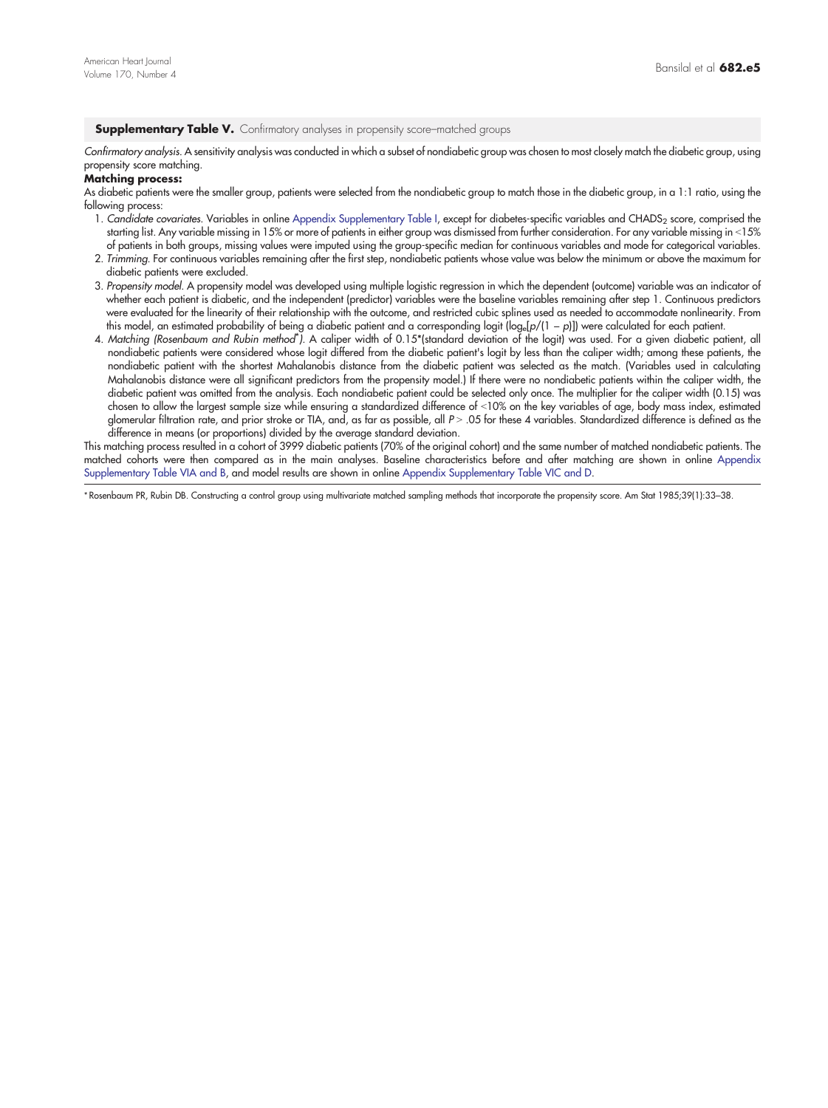#### <span id="page-13-0"></span>Supplementary Table V. Confirmatory analyses in propensity score-matched groups

Confirmatory analysis. A sensitivity analysis was conducted in which a subset of nondiabetic group was chosen to most closely match the diabetic group, using propensity score matching.

#### Matching process:

As diabetic patients were the smaller group, patients were selected from the nondiabetic group to match those in the diabetic group, in a 1:1 ratio, using the following process:

- 1. Candidate covariates. Variables in online [Appendix Supplementary Table I,](#page-9-0) except for diabetes-specific variables and CHADS<sub>2</sub> score, comprised the starting list. Any variable missing in 15% or more of patients in either group was dismissed from further consideration. For any variable missing in <15% of patients in both groups, missing values were imputed using the group-specific median for continuous variables and mode for categorical variables.
- 2. Trimming. For continuous variables remaining after the first step, nondiabetic patients whose value was below the minimum or above the maximum for diabetic patients were excluded.
- 3. Propensity model. A propensity model was developed using multiple logistic regression in which the dependent (outcome) variable was an indicator of whether each patient is diabetic, and the independent (predictor) variables were the baseline variables remaining after step 1. Continuous predictors were evaluated for the linearity of their relationship with the outcome, and restricted cubic splines used as needed to accommodate nonlinearity. From this model, an estimated probability of being a diabetic patient and a corresponding logit (log<sub>e</sub>[p/(1 − p)]) were calculated for each patient.
- 4. Matching (Rosenbaum and Rubin method<sup>\*</sup>). A caliper width of 0.15\*(standard deviation of the logit) was used. For a given diabetic patient, all nondiabetic patients were considered whose logit differed from the diabetic patient's logit by less than the caliper width; among these patients, the nondiabetic patient with the shortest Mahalanobis distance from the diabetic patient was selected as the match. (Variables used in calculating Mahalanobis distance were all significant predictors from the propensity model.) If there were no nondiabetic patients within the caliper width, the diabetic patient was omitted from the analysis. Each nondiabetic patient could be selected only once. The multiplier for the caliper width (0.15) was chosen to allow the largest sample size while ensuring a standardized difference of <10% on the key variables of age, body mass index, estimated glomerular filtration rate, and prior stroke or TIA, and, as far as possible, all P > .05 for these 4 variables. Standardized difference is defined as the difference in means (or proportions) divided by the average standard deviation.

This matching process resulted in a cohort of 3999 diabetic patients (70% of the original cohort) and the same number of matched nondiabetic patients. The matched cohorts were then compared as in the main analyses. Baseline characteristics before and after matching are shown in online [Appendix](#page-14-0) [Supplementary Table VIA and B,](#page-14-0) and model results are shown in online [Appendix Supplementary Table VIC and D](#page-14-0).

⁎ Rosenbaum PR, Rubin DB. Constructing a control group using multivariate matched sampling methods that incorporate the propensity score. Am Stat 1985;39(1):33–38.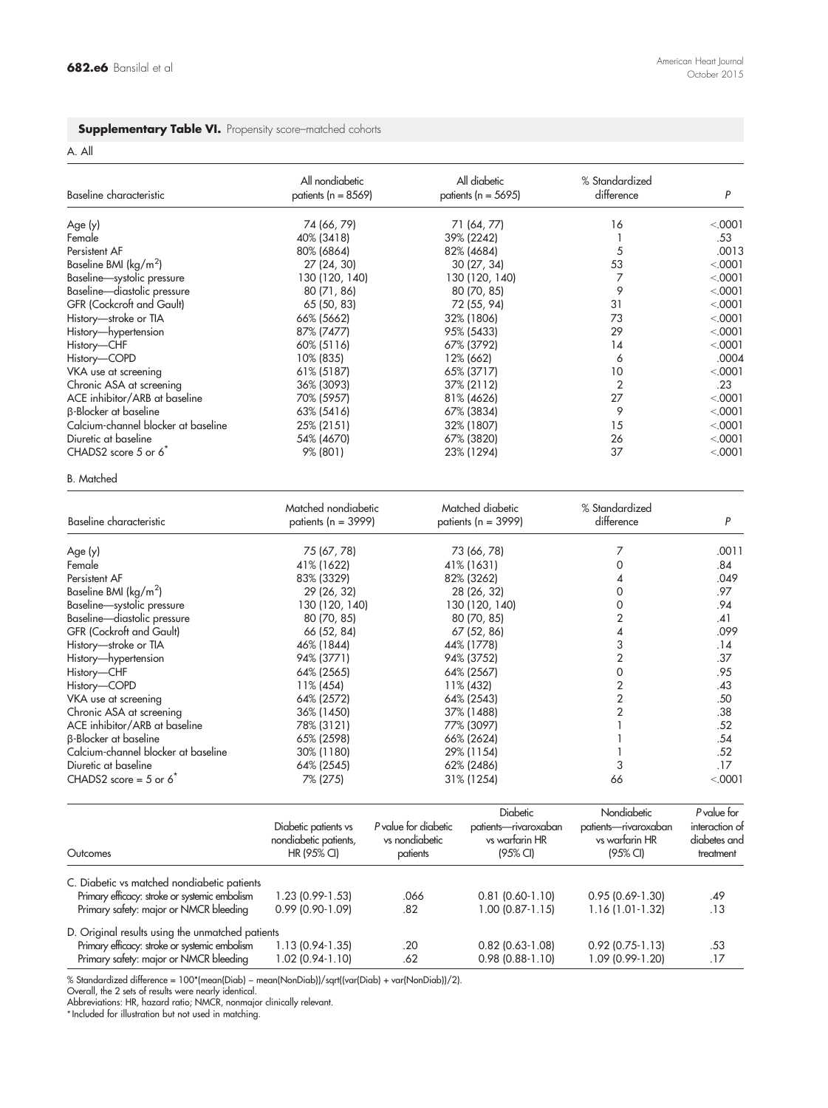#### <span id="page-14-0"></span>Supplementary Table VI. Propensity score-matched cohorts

A. All

| Baseline characteristic                         | All nondiabetic<br>patients ( $n = 8569$ ) | All diabetic<br>patients ( $n = 5695$ ) | % Standardized<br>difference | P        |
|-------------------------------------------------|--------------------------------------------|-----------------------------------------|------------------------------|----------|
| Age (y)                                         | 74 (66, 79)                                | 71 (64, 77)                             | 16                           | < 0001   |
| Female                                          | 40% (3418)                                 | 39% (2242)                              |                              | .53      |
| Persistent AF                                   | 80% (6864)                                 | 82% (4684)                              | 5                            | .0013    |
| Baseline BMI ( $\frac{\text{kg}}{\text{m}^2}$ ) | 27 (24, 30)                                | 30(27, 34)                              | 53                           | < 0.0001 |
| Baseline-systolic pressure                      | 130 (120, 140)                             | 130 (120, 140)                          |                              | < 0.0001 |
| Baseline-diastolic pressure                     | 80 (71, 86)                                | 80 (70, 85)                             | 9                            | < 0.0001 |
| GFR (Cockcroft and Gault)                       | 65 (50, 83)                                | 72 (55, 94)                             | 31                           | < 0.0001 |
| History-stroke or TIA                           | 66% (5662)                                 | 32% (1806)                              | 73                           | < 0.0001 |
| History-hypertension                            | 87% (7477)                                 | 95% (5433)                              | 29                           | < 0.0001 |
| History-CHF                                     | 60% (5116)                                 | 67% (3792)                              | 14                           | < 0.0001 |
| History-COPD                                    | 10% (835)                                  | 12% (662)                               | 6                            | .0004    |
| VKA use at screening                            | 61% (5187)                                 | 65% (3717)                              | 10                           | < 0.0001 |
| Chronic ASA at screening                        | 36% (3093)                                 | 37% (2112)                              | $\overline{2}$               | .23      |
| ACE inhibitor/ARB at baseline                   | 70% (5957)                                 | 81% (4626)                              | 27                           | < 0.0001 |
| <b>B-Blocker at baseline</b>                    | 63% (5416)                                 | 67% (3834)                              | 9                            | < 0.0001 |
| Calcium-channel blocker at baseline             | 25% (2151)                                 | 32% (1807)                              | 15                           | < 0.0001 |
| Diuretic at baseline                            | 54% (4670)                                 | 67% (3820)                              | 26                           | < 0.0001 |
| CHADS2 score $5$ or $6^{\degree}$               | 9% (801)                                   | 23% (1294)                              | 37                           | < 0.0001 |

### B. Matched

| Baseline characteristic             | Matched nondiabetic<br>patients ( $n = 3999$ ) | Matched diabetic<br>patients ( $n = 3999$ ) | % Standardized<br>difference | Ρ        |
|-------------------------------------|------------------------------------------------|---------------------------------------------|------------------------------|----------|
| Age(y)                              | 75 (67, 78)                                    | 73 (66, 78)                                 |                              | .0011    |
| Female                              | 41% (1622)                                     | 41% (1631)                                  |                              | .84      |
| Persistent AF                       | 83% (3329)                                     | 82% (3262)                                  |                              | .049     |
| Baseline BMI (kg/m <sup>2</sup> )   | 29 (26, 32)                                    | 28 (26, 32)                                 |                              | .97      |
| Baseline-systolic pressure          | 130 (120, 140)                                 | 130 (120, 140)                              |                              | .94      |
| Baseline-diastolic pressure         | 80 (70, 85)                                    | 80 (70, 85)                                 |                              | .41      |
| <b>GFR (Cockroft and Gault)</b>     | 66 (52, 84)                                    | 67 (52, 86)                                 |                              | .099     |
| History-stroke or TIA               | 46% (1844)                                     | 44% (1778)                                  |                              | .14      |
| History-hypertension                | 94% (3771)                                     | 94% (3752)                                  |                              | .37      |
| History-CHF                         | 64% (2565)                                     | 64% (2567)                                  |                              | .95      |
| History-COPD                        | 11% (454)                                      | 11% (432)                                   |                              | .43      |
| VKA use at screening                | 64% (2572)                                     | 64% (2543)                                  |                              | .50      |
| Chronic ASA at screening            | 36% (1450)                                     | 37% (1488)                                  | 2                            | .38      |
| ACE inhibitor/ARB at baseline       | 78% (3121)                                     | 77% (3097)                                  |                              | .52      |
| <b>B-Blocker at baseline</b>        | 65% (2598)                                     | 66% (2624)                                  |                              | .54      |
| Calcium-channel blocker at baseline | 30% (1180)                                     | 29% (1154)                                  |                              | .52      |
| Diuretic at baseline                | 64% (2545)                                     | 62% (2486)                                  | 3                            | .17      |
| CHADS2 score = $5$ or $62$          | 7% (275)                                       | 31% (1254)                                  | 66                           | < 0.0001 |

| Outcomes                                         | Diabetic patients vs<br>nondiabetic patients,<br>HR (95% CI) | P value for diabetic<br>vs nondiabetic<br>patients | <b>Diabetic</b><br>patients-rivaroxaban<br>vs warfarin HR<br>$(95% \text{ Cl})$ | Nondiabetic<br>patients-rivaroxaban<br>vs warfarin HR<br>$(95% \text{ Cl})$ | P value for<br>interaction of<br>diabetes and<br>treatment |
|--------------------------------------------------|--------------------------------------------------------------|----------------------------------------------------|---------------------------------------------------------------------------------|-----------------------------------------------------------------------------|------------------------------------------------------------|
| C. Diabetic vs matched nondiabetic patients      |                                                              |                                                    |                                                                                 |                                                                             |                                                            |
| Primary efficacy: stroke or systemic embolism    | 1.23 (0.99-1.53)                                             | .066                                               | $0.81$ (0.60-1.10)                                                              | $0.95(0.69-1.30)$                                                           | .49                                                        |
| Primary safety: major or NMCR bleeding           | $0.99$ (0.90-1.09)                                           | .82                                                | $1.00(0.87-1.15)$                                                               | $1.16(1.01-1.32)$                                                           | .13                                                        |
| D. Original results using the unmatched patients |                                                              |                                                    |                                                                                 |                                                                             |                                                            |
| Primary efficacy: stroke or systemic embolism    | 1.13 (0.94-1.35)                                             | .20                                                | $0.82$ (0.63-1.08)                                                              | $0.92$ (0.75-1.13)                                                          | .53                                                        |
| Primary safety: major or NMCR bleeding           | 1.02 (0.94-1.10)                                             | .62                                                | $0.98$ (0.88-1.10)                                                              | 1.09 (0.99-1.20)                                                            | .17                                                        |

% Standardized difference = 100\*(mean(Diab) – mean(NonDiab))/sqrt((var(Diab) + var(NonDiab))/2).<br>Overall, the 2 sets of results were nearly identical.<br>Abbreviations: HR, hazard ratio; NMCR, nonmaigr clinically relevant.<br>\*I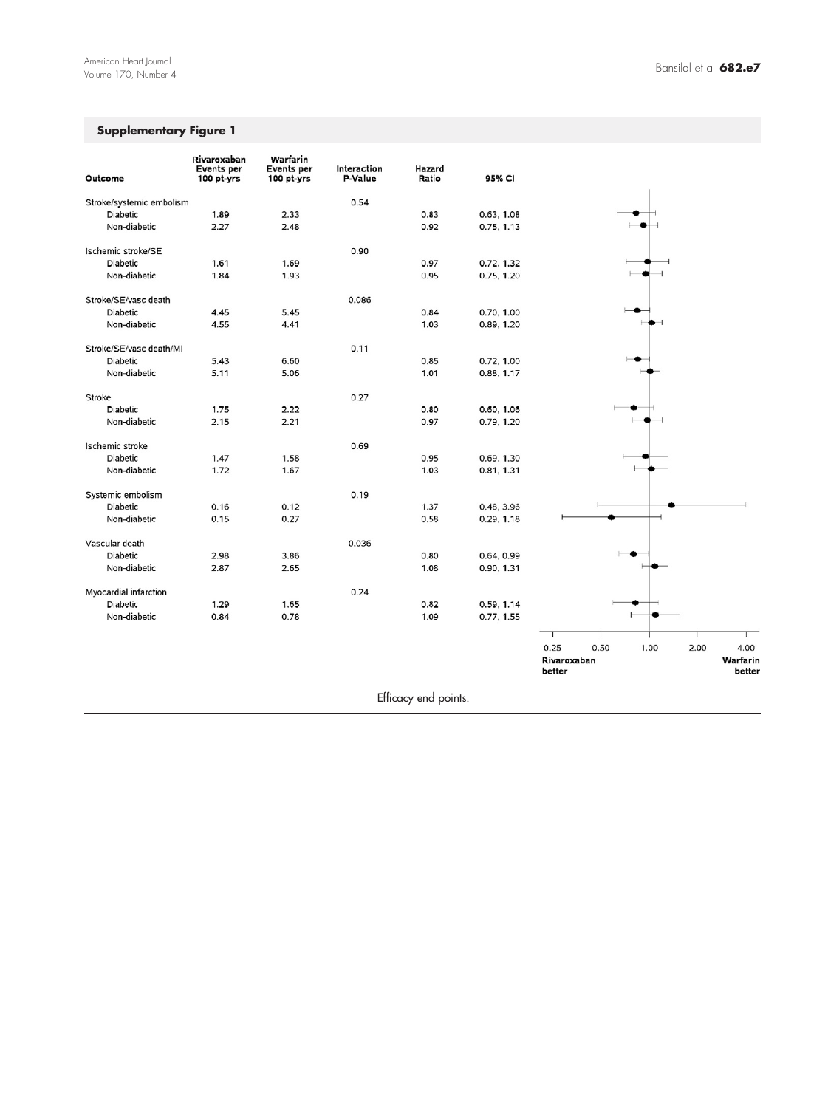# Supplementary Figure 1

| Outcome                  | Rivaroxaban<br>Events per<br>100 pt-yrs | Warfarin<br><b>Events</b> per<br>100 pt-yrs | Interaction<br>P-Value | Hazard<br>Ratio      | 95% CI     |                                             |
|--------------------------|-----------------------------------------|---------------------------------------------|------------------------|----------------------|------------|---------------------------------------------|
| Stroke/systemic embolism |                                         |                                             | 0.54                   |                      |            |                                             |
| <b>Diabetic</b>          | 1.89                                    | 2.33                                        |                        | 0.83                 | 0.63, 1.08 |                                             |
| Non-diabetic             | 2.27                                    | 2.48                                        |                        | 0.92                 | 0.75, 1.13 |                                             |
| Ischemic stroke/SE       |                                         |                                             | 0.90                   |                      |            |                                             |
| <b>Diabetic</b>          | 1.61                                    | 1.69                                        |                        | 0.97                 | 0.72, 1.32 |                                             |
| Non-diabetic             | 1.84                                    | 1.93                                        |                        | 0.95                 | 0.75, 1.20 |                                             |
| Stroke/SE/vasc death     |                                         |                                             | 0.086                  |                      |            |                                             |
| <b>Diabetic</b>          | 4.45                                    | 5.45                                        |                        | 0.84                 | 0.70, 1.00 |                                             |
| Non-diabetic             | 4.55                                    | 4.41                                        |                        | 1.03                 | 0.89, 1.20 |                                             |
| Stroke/SE/vasc death/MI  |                                         |                                             | 0.11                   |                      |            |                                             |
| <b>Diabetic</b>          | 5.43                                    | 6.60                                        |                        | 0.85                 | 0.72, 1.00 |                                             |
| Non-diabetic             | 5.11                                    | 5.06                                        |                        | 1.01                 | 0.88, 1.17 |                                             |
| Stroke                   |                                         |                                             | 0.27                   |                      |            |                                             |
| <b>Diabetic</b>          | 1.75                                    | 2.22                                        |                        | 0.80                 | 0.60, 1.06 |                                             |
| Non-diabetic             | 2.15                                    | 2.21                                        |                        | 0.97                 | 0.79, 1.20 |                                             |
| Ischemic stroke          |                                         |                                             | 0.69                   |                      |            |                                             |
| <b>Diabetic</b>          | 1.47                                    | 1.58                                        |                        | 0.95                 | 0.69, 1.30 |                                             |
| Non-diabetic             | 1.72                                    | 1.67                                        |                        | 1.03                 | 0.81, 1.31 |                                             |
| Systemic embolism        |                                         |                                             | 0.19                   |                      |            |                                             |
| <b>Diabetic</b>          | 0.16                                    | 0.12                                        |                        | 1.37                 | 0.48, 3.96 |                                             |
| Non-diabetic             | 0.15                                    | 0.27                                        |                        | 0.58                 | 0.29, 1.18 |                                             |
| Vascular death           |                                         |                                             | 0.036                  |                      |            |                                             |
| Diabetic                 | 2.98                                    | 3.86                                        |                        | 0.80                 | 0.64, 0.99 |                                             |
| Non-diabetic             | 2.87                                    | 2.65                                        |                        | 1.08                 | 0.90, 1.31 |                                             |
| Myocardial infarction    |                                         |                                             | 0.24                   |                      |            |                                             |
| <b>Diabetic</b>          | 1.29                                    | 1.65                                        |                        | 0.82                 | 0.59, 1.14 |                                             |
| Non-diabetic             | 0.84                                    | 0.78                                        |                        | 1.09                 | 0.77, 1.55 |                                             |
|                          |                                         |                                             |                        |                      |            |                                             |
|                          |                                         |                                             |                        |                      |            | 0.25<br>0.50<br>2.00<br>4.00<br>1.00        |
|                          |                                         |                                             |                        |                      |            | Warfarin<br>Rivaroxaban<br>better<br>better |
|                          |                                         |                                             |                        | Efficacy end points. |            |                                             |
|                          |                                         |                                             |                        |                      |            |                                             |